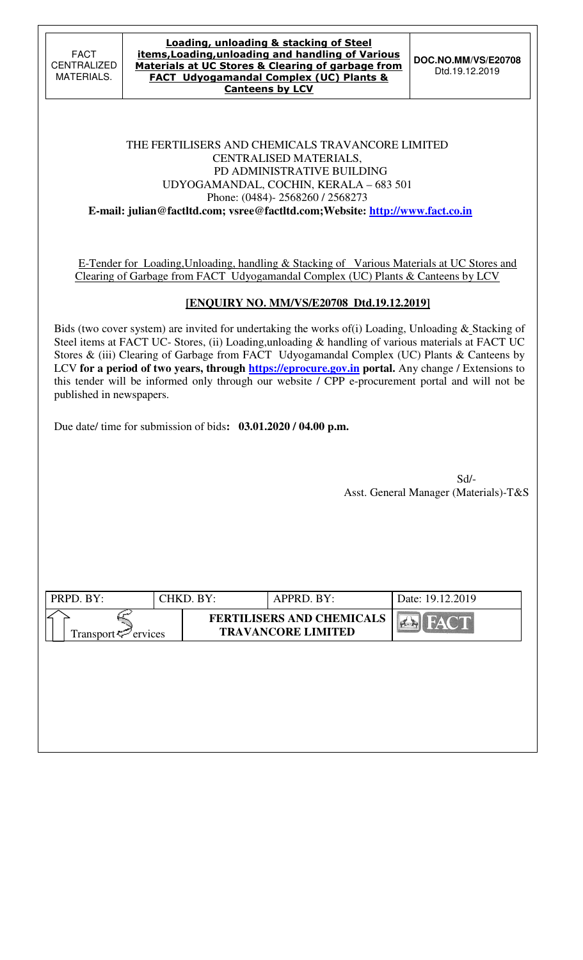**DOC.NO.MM/VS/E20708**  Dtd.19.12.2019

#### THE FERTILISERS AND CHEMICALS TRAVANCORE LIMITED CENTRALISED MATERIALS, PD ADMINISTRATIVE BUILDING UDYOGAMANDAL, COCHIN, KERALA – 683 501 Phone: (0484)- 2568260 / 2568273  **E-mail: julian@factltd.com; vsree@factltd.com;Website: http://www.fact.co.in**

E-Tender for Loading,Unloading, handling & Stacking of Various Materials at UC Stores and Clearing of Garbage from FACT Udyogamandal Complex (UC) Plants & Canteens by LCV

# **[ENQUIRY NO. MM/VS/E20708 Dtd.19.12.2019]**

Bids (two cover system) are invited for undertaking the works of (i) Loading, Unloading & Stacking of Steel items at FACT UC- Stores, (ii) Loading, unloading & handling of various materials at FACT UC Stores & (iii) Clearing of Garbage from FACT Udyogamandal Complex (UC) Plants & Canteens by LCV for a period of two years, through **https://eprocure.gov.in** portal. Any change / Extensions to this tender will be informed only through our website / CPP e-procurement portal and will not be published in newspapers.

Due date/ time for submission of bids**: 03.01.2020 / 04.00 p.m.** 

Sd/- Asst. General Manager (Materials)-T&S

| PRPD. BY:                | CHKD. BY: | APPRD. BY:                                                    | Date: 19.12.2019 |
|--------------------------|-----------|---------------------------------------------------------------|------------------|
| Transport $\leq$ ervices |           | <b>FERTILISERS AND CHEMICALS</b><br><b>TRAVANCORE LIMITED</b> | <b>FACT</b>      |
|                          |           |                                                               |                  |
|                          |           |                                                               |                  |
|                          |           |                                                               |                  |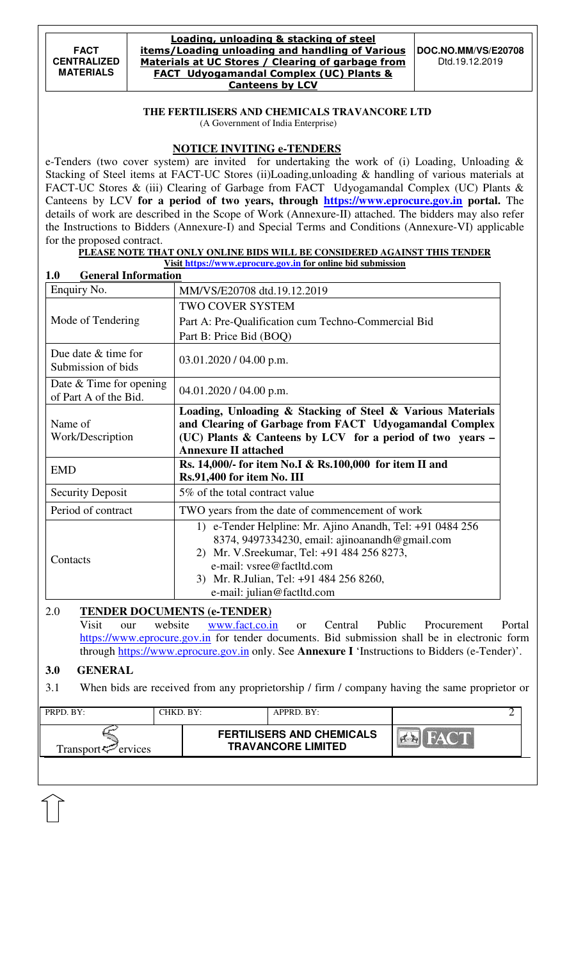#### Loading, unloading & stacking of steel items/Loading unloading and handling of Various Materials at UC Stores / Clearing of garbage from FACT Udyogamandal Complex (UC) Plants & Canteens by LCV

#### **THE FERTILISERS AND CHEMICALS TRAVANCORE LTD**  (A Government of India Enterprise)

# **NOTICE INVITING e-TENDERS**

e-Tenders (two cover system) are invited for undertaking the work of (i) Loading, Unloading & Stacking of Steel items at FACT-UC Stores (ii)Loading,unloading & handling of various materials at FACT-UC Stores & (iii) Clearing of Garbage from FACT Udyogamandal Complex (UC) Plants & Canteens by LCV **for a period of two years, through https://www.eprocure.gov.in portal.** The details of work are described in the Scope of Work (Annexure-II) attached. The bidders may also refer the Instructions to Bidders (Annexure-I) and Special Terms and Conditions (Annexure-VI) applicable for the proposed contract.

### **PLEASE NOTE THAT ONLY ONLINE BIDS WILL BE CONSIDERED AGAINST THIS TENDER**

**Visit https://www.eprocure.gov.in for online bid submission** 

| <b>General Information</b><br>1.0                  |                                                                                                                                                                                                                                                                 |
|----------------------------------------------------|-----------------------------------------------------------------------------------------------------------------------------------------------------------------------------------------------------------------------------------------------------------------|
| Enquiry No.                                        | MM/VS/E20708 dtd.19.12.2019                                                                                                                                                                                                                                     |
|                                                    | <b>TWO COVER SYSTEM</b>                                                                                                                                                                                                                                         |
| Mode of Tendering                                  | Part A: Pre-Qualification cum Techno-Commercial Bid                                                                                                                                                                                                             |
|                                                    | Part B: Price Bid (BOQ)                                                                                                                                                                                                                                         |
| Due date $&$ time for<br>Submission of bids        | 03.01.2020 / 04.00 p.m.                                                                                                                                                                                                                                         |
| Date $&$ Time for opening<br>of Part A of the Bid. | $04.01.2020 / 04.00$ p.m.                                                                                                                                                                                                                                       |
| Name of<br>Work/Description                        | Loading, Unloading & Stacking of Steel & Various Materials<br>and Clearing of Garbage from FACT Udyogamandal Complex<br>(UC) Plants & Canteens by LCV for a period of two years -<br><b>Annexure II attached</b>                                                |
| <b>EMD</b>                                         | Rs. 14,000/- for item No.I & Rs.100,000 for item II and<br>Rs.91,400 for item No. III                                                                                                                                                                           |
| <b>Security Deposit</b>                            | 5% of the total contract value                                                                                                                                                                                                                                  |
| Period of contract                                 | TWO years from the date of commencement of work                                                                                                                                                                                                                 |
| Contacts                                           | 1) e-Tender Helpline: Mr. Ajino Anandh, Tel: +91 0484 256<br>8374, 9497334230, email: ajinoanandh@gmail.com<br>2) Mr. V.Sreekumar, Tel: +91 484 256 8273,<br>e-mail: vsree@factltd.com<br>3) Mr. R.Julian, Tel: +91 484 256 8260,<br>e-mail: julian@factltd.com |

#### 2.0 **TENDER DOCUMENTS (e-TENDER)**

Visit our website **www.fact.co.in** or Central Public Procurement Portal https://www.eprocure.gov.in for tender documents. Bid submission shall be in electronic form through https://www.eprocure.gov.in only. See **Annexure I** 'Instructions to Bidders (e-Tender)'.

## **3.0 GENERAL**

#### 3.1 When bids are received from any proprietorship / firm / company having the same proprietor or

| PRPD. BY:                   | CHKD. BY: | APPRD. BY:                                                    |  |
|-----------------------------|-----------|---------------------------------------------------------------|--|
| Transport $\approx$ ervices |           | <b>FERTILISERS AND CHEMICALS</b><br><b>TRAVANCORE LIMITED</b> |  |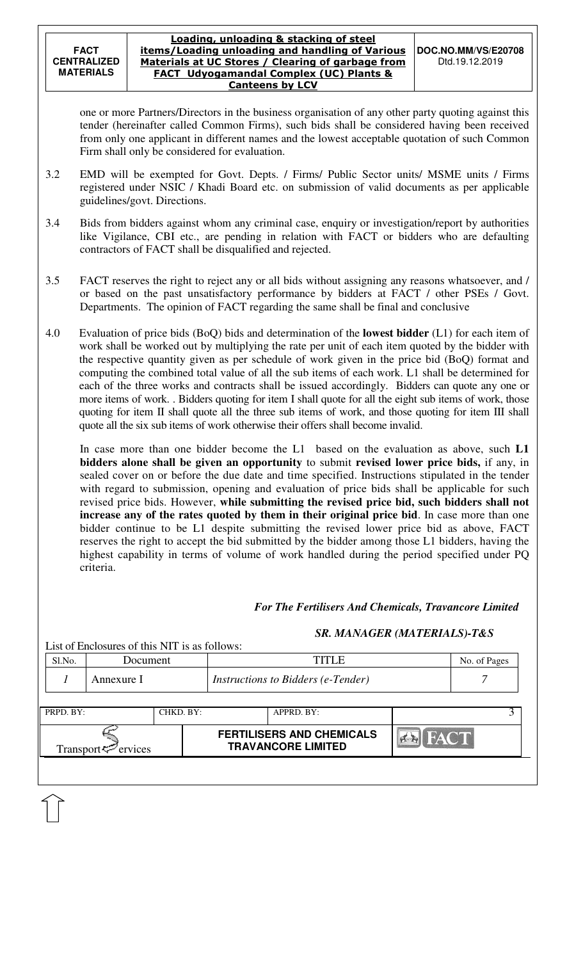one or more Partners/Directors in the business organisation of any other party quoting against this tender (hereinafter called Common Firms), such bids shall be considered having been received from only one applicant in different names and the lowest acceptable quotation of such Common Firm shall only be considered for evaluation.

- 3.2 EMD will be exempted for Govt. Depts. / Firms/ Public Sector units/ MSME units / Firms registered under NSIC / Khadi Board etc. on submission of valid documents as per applicable guidelines/govt. Directions.
- 3.4 Bids from bidders against whom any criminal case, enquiry or investigation/report by authorities like Vigilance, CBI etc., are pending in relation with FACT or bidders who are defaulting contractors of FACT shall be disqualified and rejected.
- 3.5 FACT reserves the right to reject any or all bids without assigning any reasons whatsoever, and / or based on the past unsatisfactory performance by bidders at FACT / other PSEs / Govt. Departments. The opinion of FACT regarding the same shall be final and conclusive
- 4.0 Evaluation of price bids (BoQ) bids and determination of the **lowest bidder** (L1) for each item of work shall be worked out by multiplying the rate per unit of each item quoted by the bidder with the respective quantity given as per schedule of work given in the price bid (BoQ) format and computing the combined total value of all the sub items of each work. L1 shall be determined for each of the three works and contracts shall be issued accordingly. Bidders can quote any one or more items of work. . Bidders quoting for item I shall quote for all the eight sub items of work, those quoting for item II shall quote all the three sub items of work, and those quoting for item III shall quote all the six sub items of work otherwise their offers shall become invalid.

 In case more than one bidder become the L1 based on the evaluation as above, such **L1 bidders alone shall be given an opportunity** to submit **revised lower price bids,** if any, in sealed cover on or before the due date and time specified. Instructions stipulated in the tender with regard to submission, opening and evaluation of price bids shall be applicable for such revised price bids. However, **while submitting the revised price bid, such bidders shall not increase any of the rates quoted by them in their original price bid**. In case more than one bidder continue to be L1 despite submitting the revised lower price bid as above, FACT reserves the right to accept the bid submitted by the bidder among those L1 bidders, having the highest capability in terms of volume of work handled during the period specified under PQ criteria.

## *For The Fertilisers And Chemicals, Travancore Limited*

## *SR. MANAGER (MATERIALS)-T&S*

| Transport <sup>7</sup> ervices |            |                                               | <b>FERTILISERS AND CHEMICALS</b><br><b>TRAVANCORE LIMITED</b> | <b>BIFACT</b>                      |  |              |  |
|--------------------------------|------------|-----------------------------------------------|---------------------------------------------------------------|------------------------------------|--|--------------|--|
| PRPD. BY:                      |            | CHKD. BY:                                     |                                                               | APPRD. BY:                         |  |              |  |
|                                | Annexure I |                                               |                                                               | Instructions to Bidders (e-Tender) |  |              |  |
| S1.No.                         | Document   |                                               |                                                               | <b>TITLE</b>                       |  | No. of Pages |  |
|                                |            | List of Enclosures of this NIT is as follows: |                                                               |                                    |  |              |  |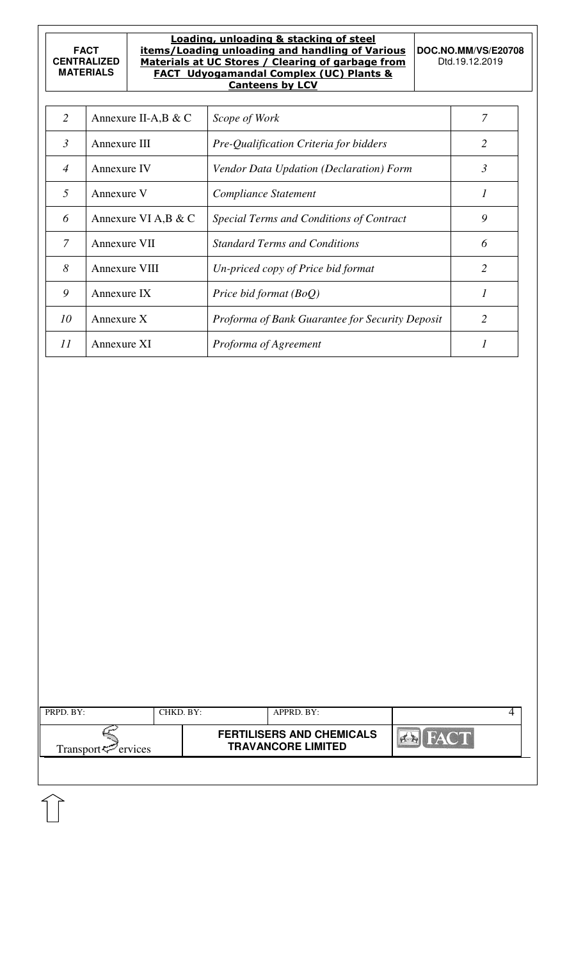׀<br>׀

#### Loading, unloading & stacking of steel items/Loading unloading and handling of Various Materials at UC Stores / Clearing of garbage from FACT Udyogamandal Complex (UC) Plants & Canteens by LCV

**DOC.NO.MM/VS/E20708**  Dtd.19.12.2019

| 2              | Annexure II-A, B & C | Scope of Work                                   |   |
|----------------|----------------------|-------------------------------------------------|---|
| $\mathfrak{Z}$ | Annexure III         | Pre-Qualification Criteria for bidders          | 2 |
| $\overline{4}$ | Annexure IV          | Vendor Data Updation (Declaration) Form         | 3 |
| 5              | Annexure V           | Compliance Statement                            |   |
| 6              | Annexure VI A, B & C | Special Terms and Conditions of Contract        | 9 |
| 7              | Annexure VII         | <b>Standard Terms and Conditions</b>            | 6 |
| 8              | Annexure VIII        | Un-priced copy of Price bid format              | 2 |
| 9              | Annexure IX          | Price bid format (BoQ)                          |   |
| 10             | Annexure X           | Proforma of Bank Guarantee for Security Deposit | 2 |
| 11             | Annexure XI          | Proforma of Agreement                           |   |

| Transport $\approx$ ervices |  | <b>FERTILISERS AND CHEMICALS</b><br><b>TRAVANCORE LIMITED</b> |  |
|-----------------------------|--|---------------------------------------------------------------|--|
|                             |  |                                                               |  |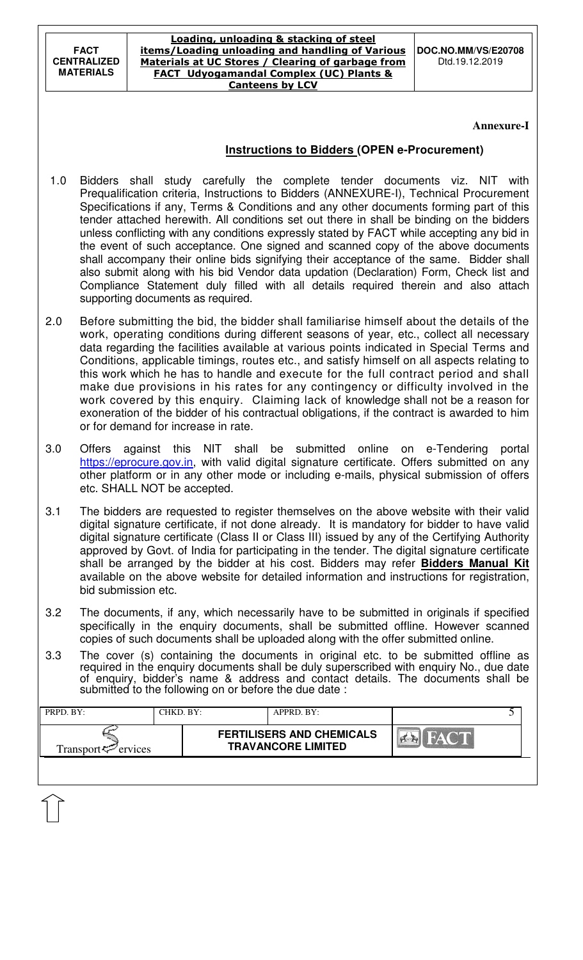#### Loading, unloading & stacking of steel items/Loading unloading and handling of Various Materials at UC Stores / Clearing of garbage from FACT Udyogamandal Complex (UC) Plants & Canteens by LCV

**DOC.NO.MM/VS/E20708**  Dtd.19.12.2019

### **Annexure-I**

## **Instructions to Bidders (OPEN e-Procurement)**

- 1.0 Bidders shall study carefully the complete tender documents viz. NIT with Prequalification criteria, Instructions to Bidders (ANNEXURE-I), Technical Procurement Specifications if any, Terms & Conditions and any other documents forming part of this tender attached herewith. All conditions set out there in shall be binding on the bidders unless conflicting with any conditions expressly stated by FACT while accepting any bid in the event of such acceptance. One signed and scanned copy of the above documents shall accompany their online bids signifying their acceptance of the same. Bidder shall also submit along with his bid Vendor data updation (Declaration) Form, Check list and Compliance Statement duly filled with all details required therein and also attach supporting documents as required.
- 2.0 Before submitting the bid, the bidder shall familiarise himself about the details of the work, operating conditions during different seasons of year, etc., collect all necessary data regarding the facilities available at various points indicated in Special Terms and Conditions, applicable timings, routes etc., and satisfy himself on all aspects relating to this work which he has to handle and execute for the full contract period and shall make due provisions in his rates for any contingency or difficulty involved in the work covered by this enquiry. Claiming lack of knowledge shall not be a reason for exoneration of the bidder of his contractual obligations, if the contract is awarded to him or for demand for increase in rate.
- 3.0 Offers against this NIT shall be submitted online on e-Tendering portal https://eprocure.gov.in, with valid digital signature certificate. Offers submitted on any other platform or in any other mode or including e-mails, physical submission of offers etc. SHALL NOT be accepted.
- 3.1 The bidders are requested to register themselves on the above website with their valid digital signature certificate, if not done already. It is mandatory for bidder to have valid digital signature certificate (Class II or Class III) issued by any of the Certifying Authority approved by Govt. of India for participating in the tender. The digital signature certificate shall be arranged by the bidder at his cost. Bidders may refer **Bidders Manual Kit**  available on the above website for detailed information and instructions for registration, bid submission etc.
- 3.2 The documents, if any, which necessarily have to be submitted in originals if specified specifically in the enquiry documents, shall be submitted offline. However scanned copies of such documents shall be uploaded along with the offer submitted online.
- 3.3 The cover (s) containing the documents in original etc. to be submitted offline as required in the enquiry documents shall be duly superscribed with enquiry No., due date of enquiry, bidder's name & address and contact details. The documents shall be submitted to the following on or before the due date :

| PRPD. BY:                      | CHKD. BY: | APPRD. BY:                                                    |      |  |
|--------------------------------|-----------|---------------------------------------------------------------|------|--|
| Transport <sup>7</sup> ervices |           | <b>FERTILISERS AND CHEMICALS</b><br><b>TRAVANCORE LIMITED</b> | HACT |  |
|                                |           |                                                               |      |  |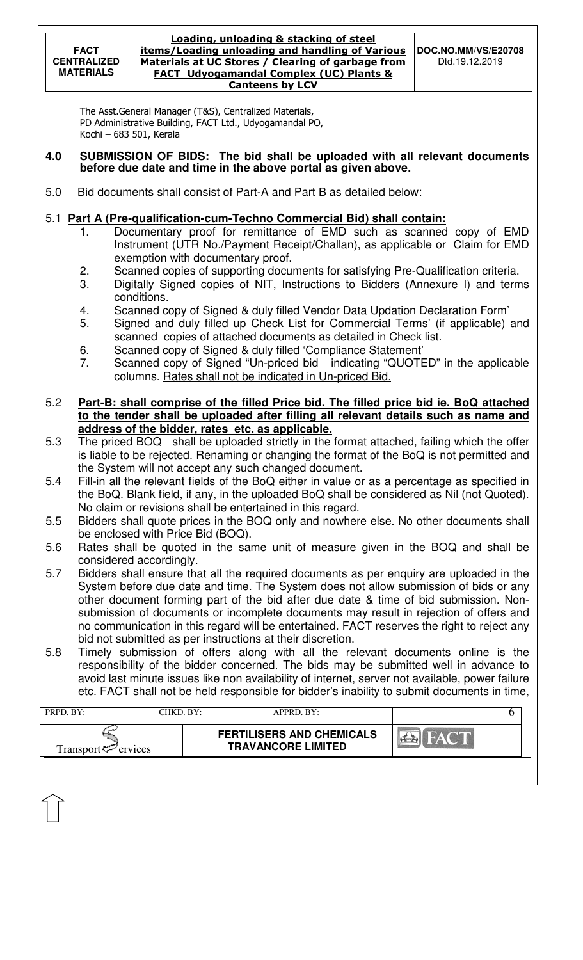The Asst.General Manager (T&S), Centralized Materials, PD Administrative Building, FACT Ltd., Udyogamandal PO, Kochi – 683 501, Kerala

### **4.0 SUBMISSION OF BIDS: The bid shall be uploaded with all relevant documents before due date and time in the above portal as given above.**

5.0 Bid documents shall consist of Part-A and Part B as detailed below:

# 5.1 **Part A (Pre-qualification-cum-Techno Commercial Bid) shall contain:**

- 1. Documentary proof for remittance of EMD such as scanned copy of EMD Instrument (UTR No./Payment Receipt/Challan), as applicable or Claim for EMD exemption with documentary proof.
- 2. Scanned copies of supporting documents for satisfying Pre-Qualification criteria.
- 3. Digitally Signed copies of NIT, Instructions to Bidders (Annexure I) and terms conditions.
- 4. Scanned copy of Signed & duly filled Vendor Data Updation Declaration Form'
- 5. Signed and duly filled up Check List for Commercial Terms' (if applicable) and scanned copies of attached documents as detailed in Check list.
- 6. Scanned copy of Signed & duly filled 'Compliance Statement'
- 7. Scanned copy of Signed "Un-priced bid indicating "QUOTED" in the applicable columns. Rates shall not be indicated in Un-priced Bid.
- 5.2 **Part-B: shall comprise of the filled Price bid. The filled price bid ie. BoQ attached to the tender shall be uploaded after filling all relevant details such as name and address of the bidder, rates etc. as applicable.**
- 5.3 The priced BOQ shall be uploaded strictly in the format attached, failing which the offer is liable to be rejected. Renaming or changing the format of the BoQ is not permitted and the System will not accept any such changed document.
- 5.4 Fill-in all the relevant fields of the BoQ either in value or as a percentage as specified in the BoQ. Blank field, if any, in the uploaded BoQ shall be considered as Nil (not Quoted). No claim or revisions shall be entertained in this regard.
- 5.5 Bidders shall quote prices in the BOQ only and nowhere else. No other documents shall be enclosed with Price Bid (BOQ).
- 5.6 Rates shall be quoted in the same unit of measure given in the BOQ and shall be considered accordingly.
- 5.7 Bidders shall ensure that all the required documents as per enquiry are uploaded in the System before due date and time. The System does not allow submission of bids or any other document forming part of the bid after due date & time of bid submission. Nonsubmission of documents or incomplete documents may result in rejection of offers and no communication in this regard will be entertained. FACT reserves the right to reject any bid not submitted as per instructions at their discretion.
- 5.8 Timely submission of offers along with all the relevant documents online is the responsibility of the bidder concerned. The bids may be submitted well in advance to avoid last minute issues like non availability of internet, server not available, power failure etc. FACT shall not be held responsible for bidder's inability to submit documents in time,

| PRPD. BY:                      | CHKD. BY: | APPRD. BY:                                                    |      |  |
|--------------------------------|-----------|---------------------------------------------------------------|------|--|
| Transport <sup>2</sup> ervices |           | <b>FERTILISERS AND CHEMICALS</b><br><b>TRAVANCORE LIMITED</b> | HACT |  |
|                                |           |                                                               |      |  |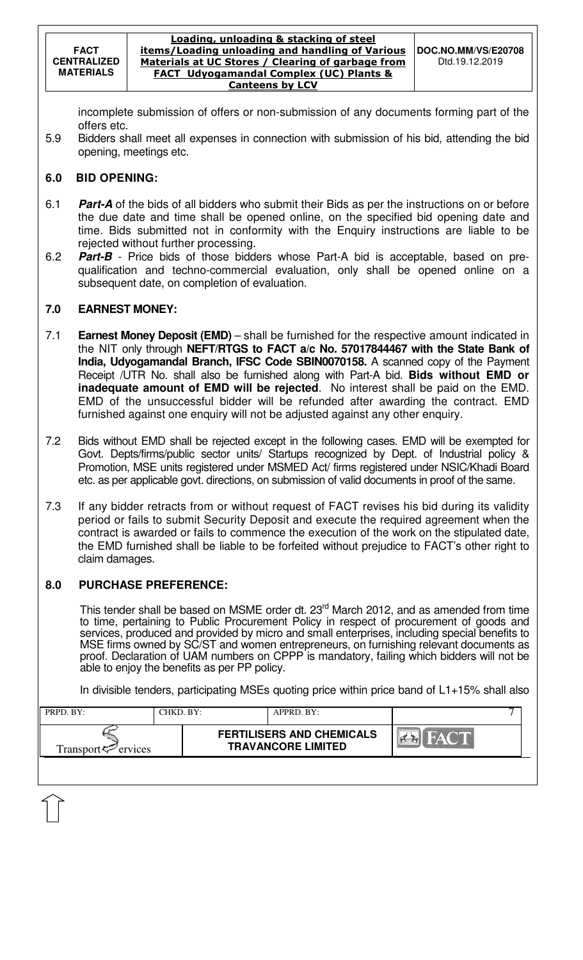incomplete submission of offers or non-submission of any documents forming part of the offers etc.

5.9 Bidders shall meet all expenses in connection with submission of his bid, attending the bid opening, meetings etc.

## **6.0 BID OPENING:**

- 6.1 **Part-A** of the bids of all bidders who submit their Bids as per the instructions on or before the due date and time shall be opened online, on the specified bid opening date and time. Bids submitted not in conformity with the Enquiry instructions are liable to be rejected without further processing.
- 6.2 **Part-B** Price bids of those bidders whose Part-A bid is acceptable, based on prequalification and techno-commercial evaluation, only shall be opened online on a subsequent date, on completion of evaluation.

# **7.0 EARNEST MONEY:**

- 7.1 **Earnest Money Deposit (EMD)** shall be furnished for the respective amount indicated in the NIT only through **NEFT/RTGS to FACT a/c No. 57017844467 with the State Bank of India, Udyogamandal Branch, IFSC Code SBIN0070158.** A scanned copy of the Payment Receipt /UTR No. shall also be furnished along with Part-A bid. **Bids without EMD or inadequate amount of EMD will be rejected**. No interest shall be paid on the EMD. EMD of the unsuccessful bidder will be refunded after awarding the contract. EMD furnished against one enquiry will not be adjusted against any other enquiry.
- 7.2 Bids without EMD shall be rejected except in the following cases. EMD will be exempted for Govt. Depts/firms/public sector units/ Startups recognized by Dept. of Industrial policy & Promotion, MSE units registered under MSMED Act/ firms registered under NSIC/Khadi Board etc. as per applicable govt. directions, on submission of valid documents in proof of the same.
- 7.3 If any bidder retracts from or without request of FACT revises his bid during its validity period or fails to submit Security Deposit and execute the required agreement when the contract is awarded or fails to commence the execution of the work on the stipulated date, the EMD furnished shall be liable to be forfeited without prejudice to FACT's other right to claim damages.

## **8.0 PURCHASE PREFERENCE:**

This tender shall be based on MSME order dt. 23<sup>rd</sup> March 2012, and as amended from time to time, pertaining to Public Procurement Policy in respect of procurement of goods and services, produced and provided by micro and small enterprises, including special benefits to MSE firms owned by SC/ST and women entrepreneurs, on furnishing relevant documents as proof. Declaration of UAM numbers on CPPP is mandatory, failing which bidders will not be able to enjoy the benefits as per PP policy.

In divisible tenders, participating MSEs quoting price within price band of L1+15% shall also

| <b>FERTILISERS AND CHEMICALS</b><br>$\frac{1}{2}$ $\triangle$<br><b>TRAVANCORE LIMITED</b> | PRPD. BY:                   | CHKD. BY: | $APPRD$ . $BY$ : |  |
|--------------------------------------------------------------------------------------------|-----------------------------|-----------|------------------|--|
|                                                                                            | Transport $\approx$ ervices |           |                  |  |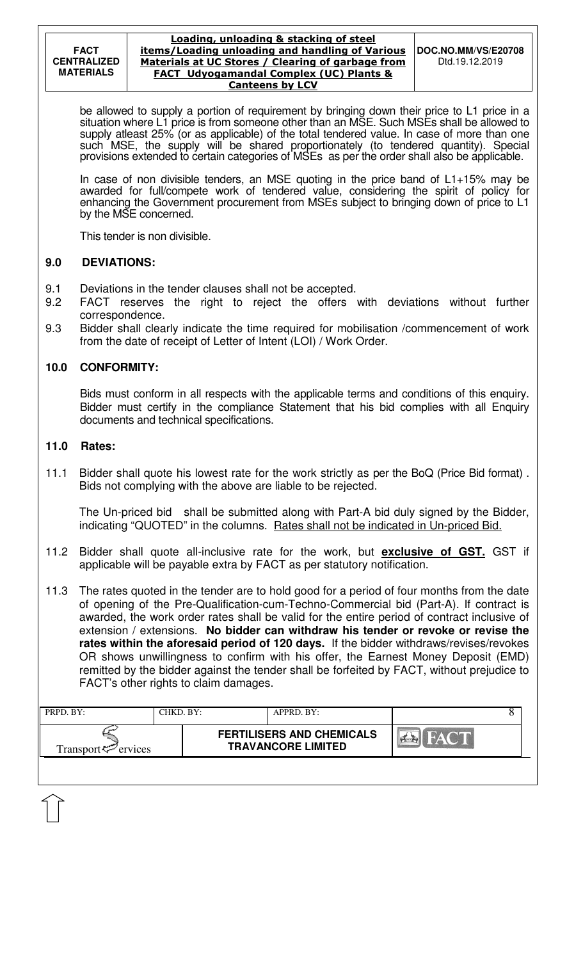be allowed to supply a portion of requirement by bringing down their price to L1 price in a situation where L1 price is from someone other than an MSE. Such MSEs shall be allowed to supply atleast 25% (or as applicable) of the total tendered value. In case of more than one such MSE, the supply will be shared proportionately (to tendered quantity). Special provisions extended to certain categories of MSEs as per the order shall also be applicable.

In case of non divisible tenders, an MSE quoting in the price band of L1+15% may be awarded for full/compete work of tendered value, considering the spirit of policy for enhancing the Government procurement from MSEs subject to bringing down of price to L1 by the MSE concerned.

This tender is non divisible.

# **9.0 DEVIATIONS:**

- 9.1 Deviations in the tender clauses shall not be accepted.
- 9.2 FACT reserves the right to reject the offers with deviations without further correspondence.
- 9.3 Bidder shall clearly indicate the time required for mobilisation /commencement of work from the date of receipt of Letter of Intent (LOI) / Work Order.

## **10.0 CONFORMITY:**

Bids must conform in all respects with the applicable terms and conditions of this enquiry. Bidder must certify in the compliance Statement that his bid complies with all Enquiry documents and technical specifications.

## **11.0 Rates:**

11.1 Bidder shall quote his lowest rate for the work strictly as per the BoQ (Price Bid format) . Bids not complying with the above are liable to be rejected.

The Un-priced bid shall be submitted along with Part-A bid duly signed by the Bidder, indicating "QUOTED" in the columns. Rates shall not be indicated in Un-priced Bid.

- 11.2 Bidder shall quote all-inclusive rate for the work, but **exclusive of GST.** GST if applicable will be payable extra by FACT as per statutory notification.
- 11.3 The rates quoted in the tender are to hold good for a period of four months from the date of opening of the Pre-Qualification-cum-Techno-Commercial bid (Part-A). If contract is awarded, the work order rates shall be valid for the entire period of contract inclusive of extension / extensions. **No bidder can withdraw his tender or revoke or revise the rates within the aforesaid period of 120 days.** If the bidder withdraws/revises/revokes OR shows unwillingness to confirm with his offer, the Earnest Money Deposit (EMD) remitted by the bidder against the tender shall be forfeited by FACT, without prejudice to FACT's other rights to claim damages.

| PRPD. BY:                   | CHKD. BY: | $APPRD$ . BY:                                                 |       |  |
|-----------------------------|-----------|---------------------------------------------------------------|-------|--|
| Transport $\varphi$ ervices |           | <b>FERTILISERS AND CHEMICALS</b><br><b>TRAVANCORE LIMITED</b> | HACTE |  |
|                             |           |                                                               |       |  |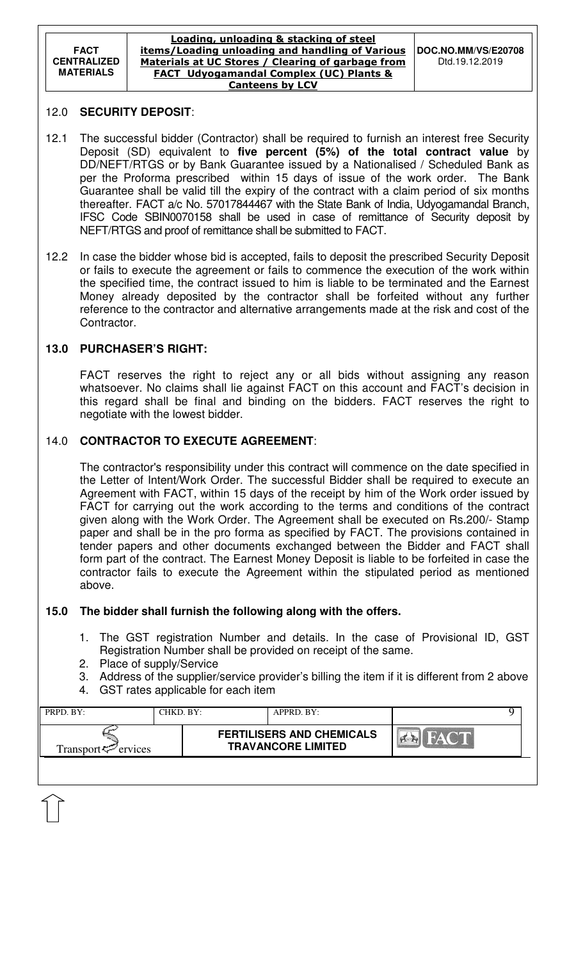#### Loading, unloading & stacking of steel items/Loading unloading and handling of Various Materials at UC Stores / Clearing of garbage from FACT Udyogamandal Complex (UC) Plants & Canteens by LCV

### 12.0 **SECURITY DEPOSIT**:

- 12.1 The successful bidder (Contractor) shall be required to furnish an interest free Security Deposit (SD) equivalent to **five percent (5%) of the total contract value** by DD/NEFT/RTGS or by Bank Guarantee issued by a Nationalised / Scheduled Bank as per the Proforma prescribed within 15 days of issue of the work order. The Bank Guarantee shall be valid till the expiry of the contract with a claim period of six months thereafter. FACT a/c No. 57017844467 with the State Bank of India, Udyogamandal Branch, IFSC Code SBIN0070158 shall be used in case of remittance of Security deposit by NEFT/RTGS and proof of remittance shall be submitted to FACT.
- 12.2 In case the bidder whose bid is accepted, fails to deposit the prescribed Security Deposit or fails to execute the agreement or fails to commence the execution of the work within the specified time, the contract issued to him is liable to be terminated and the Earnest Money already deposited by the contractor shall be forfeited without any further reference to the contractor and alternative arrangements made at the risk and cost of the Contractor.

## **13.0 PURCHASER'S RIGHT:**

 FACT reserves the right to reject any or all bids without assigning any reason whatsoever. No claims shall lie against FACT on this account and FACT's decision in this regard shall be final and binding on the bidders. FACT reserves the right to negotiate with the lowest bidder.

# 14.0 **CONTRACTOR TO EXECUTE AGREEMENT**:

 The contractor's responsibility under this contract will commence on the date specified in the Letter of Intent/Work Order. The successful Bidder shall be required to execute an Agreement with FACT, within 15 days of the receipt by him of the Work order issued by FACT for carrying out the work according to the terms and conditions of the contract given along with the Work Order. The Agreement shall be executed on Rs.200/- Stamp paper and shall be in the pro forma as specified by FACT. The provisions contained in tender papers and other documents exchanged between the Bidder and FACT shall form part of the contract. The Earnest Money Deposit is liable to be forfeited in case the contractor fails to execute the Agreement within the stipulated period as mentioned above.

## **15.0 The bidder shall furnish the following along with the offers.**

- 1. The GST registration Number and details. In the case of Provisional ID, GST Registration Number shall be provided on receipt of the same.
- 2. Place of supply/Service
- 3. Address of the supplier/service provider's billing the item if it is different from 2 above
- 4. GST rates applicable for each item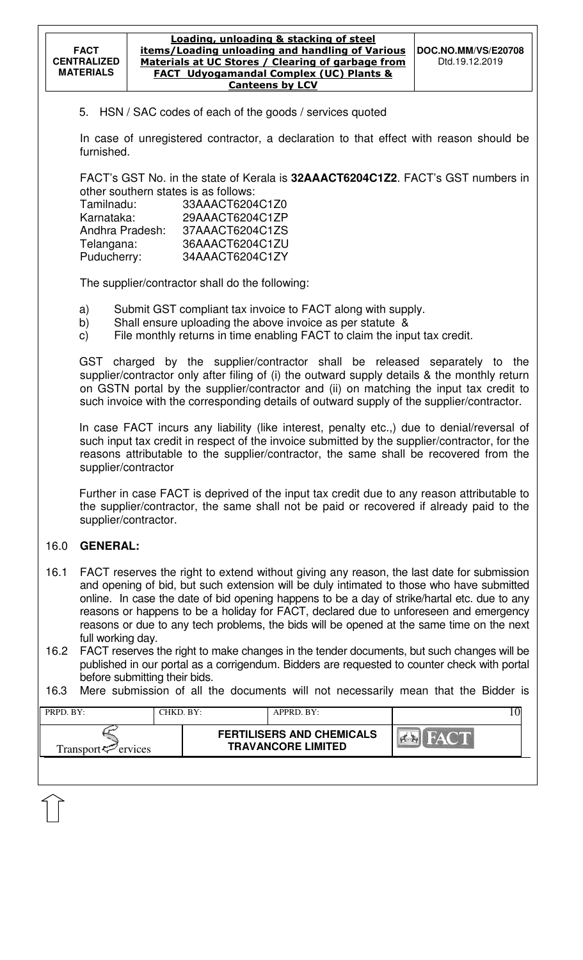5. HSN / SAC codes of each of the goods / services quoted

In case of unregistered contractor, a declaration to that effect with reason should be furnished.

FACT's GST No. in the state of Kerala is **32AAACT6204C1Z2**. FACT's GST numbers in other southern states is as follows:

| Tamilnadu:      | 33AAACT6204C1Z0 |
|-----------------|-----------------|
| Karnataka:      | 29AAACT6204C1ZP |
| Andhra Pradesh: | 37AAACT6204C1ZS |
| Telangana:      | 36AAACT6204C1ZU |
| Puducherry:     | 34AAACT6204C1ZY |

The supplier/contractor shall do the following:

- a) Submit GST compliant tax invoice to FACT along with supply.
- b) Shall ensure uploading the above invoice as per statute &
- c) File monthly returns in time enabling FACT to claim the input tax credit.

GST charged by the supplier/contractor shall be released separately to the supplier/contractor only after filing of (i) the outward supply details & the monthly return on GSTN portal by the supplier/contractor and (ii) on matching the input tax credit to such invoice with the corresponding details of outward supply of the supplier/contractor.

In case FACT incurs any liability (like interest, penalty etc.,) due to denial/reversal of such input tax credit in respect of the invoice submitted by the supplier/contractor, for the reasons attributable to the supplier/contractor, the same shall be recovered from the supplier/contractor

Further in case FACT is deprived of the input tax credit due to any reason attributable to the supplier/contractor, the same shall not be paid or recovered if already paid to the supplier/contractor.

## 16.0 **GENERAL:**

- 16.1 FACT reserves the right to extend without giving any reason, the last date for submission and opening of bid, but such extension will be duly intimated to those who have submitted online. In case the date of bid opening happens to be a day of strike/hartal etc. due to any reasons or happens to be a holiday for FACT, declared due to unforeseen and emergency reasons or due to any tech problems, the bids will be opened at the same time on the next full working day.
- 16.2 FACT reserves the right to make changes in the tender documents, but such changes will be published in our portal as a corrigendum. Bidders are requested to counter check with portal before submitting their bids.
- 16.3 Mere submission of all the documents will not necessarily mean that the Bidder is

| PRPD. BY:                   | CHKD. BY: | $APPRD$ . BY:                                                 |  |
|-----------------------------|-----------|---------------------------------------------------------------|--|
| Transport $\approx$ ervices |           | <b>FERTILISERS AND CHEMICALS</b><br><b>TRAVANCORE LIMITED</b> |  |
|                             |           |                                                               |  |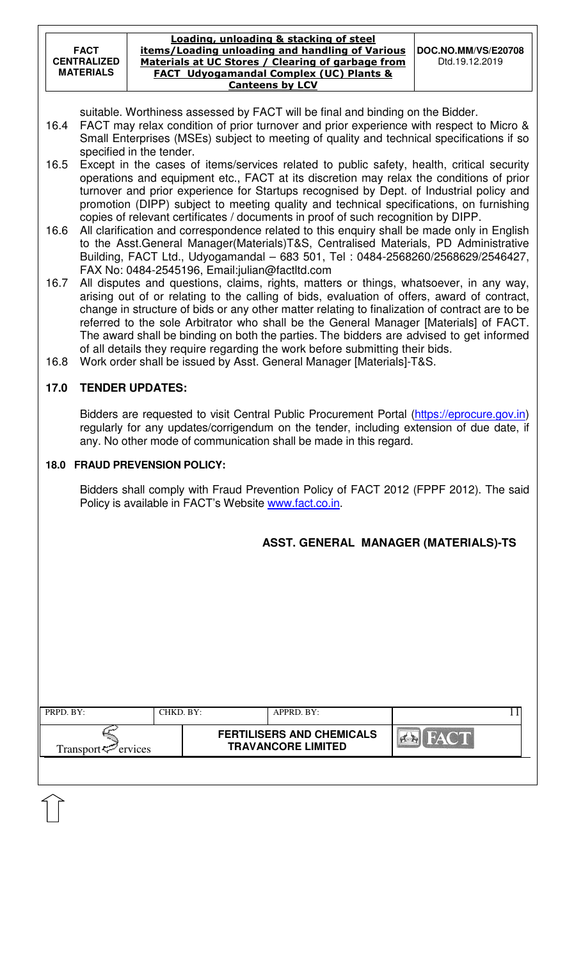#### Loading, unloading & stacking of steel items/Loading unloading and handling of Various Materials at UC Stores / Clearing of garbage from FACT Udyogamandal Complex (UC) Plants & Canteens by LCV

suitable. Worthiness assessed by FACT will be final and binding on the Bidder.

- 16.4 FACT may relax condition of prior turnover and prior experience with respect to Micro & Small Enterprises (MSEs) subject to meeting of quality and technical specifications if so specified in the tender.
- 16.5 Except in the cases of items/services related to public safety, health, critical security operations and equipment etc., FACT at its discretion may relax the conditions of prior turnover and prior experience for Startups recognised by Dept. of Industrial policy and promotion (DIPP) subject to meeting quality and technical specifications, on furnishing copies of relevant certificates / documents in proof of such recognition by DIPP.
- 16.6 All clarification and correspondence related to this enquiry shall be made only in English to the Asst.General Manager(Materials)T&S, Centralised Materials, PD Administrative Building, FACT Ltd., Udyogamandal – 683 501, Tel : 0484-2568260/2568629/2546427, FAX No: 0484-2545196, Email:julian@factltd.com
- 16.7 All disputes and questions, claims, rights, matters or things, whatsoever, in any way, arising out of or relating to the calling of bids, evaluation of offers, award of contract, change in structure of bids or any other matter relating to finalization of contract are to be referred to the sole Arbitrator who shall be the General Manager [Materials] of FACT. The award shall be binding on both the parties. The bidders are advised to get informed of all details they require regarding the work before submitting their bids.
- 16.8 Work order shall be issued by Asst. General Manager [Materials]-T&S.

# **17.0 TENDER UPDATES:**

Bidders are requested to visit Central Public Procurement Portal (https://eprocure.gov.in) regularly for any updates/corrigendum on the tender, including extension of due date, if any. No other mode of communication shall be made in this regard.

## **18.0 FRAUD PREVENSION POLICY:**

Bidders shall comply with Fraud Prevention Policy of FACT 2012 (FPPF 2012). The said Policy is available in FACT's Website www.fact.co.in.

# **ASST. GENERAL MANAGER (MATERIALS)-TS**

| PRPD. BY:                      | CHKD. BY: | $APPRD$ . $BY$ :                                              |  |
|--------------------------------|-----------|---------------------------------------------------------------|--|
| Transport <sup>7</sup> ervices |           | <b>FERTILISERS AND CHEMICALS</b><br><b>TRAVANCORE LIMITED</b> |  |
|                                |           |                                                               |  |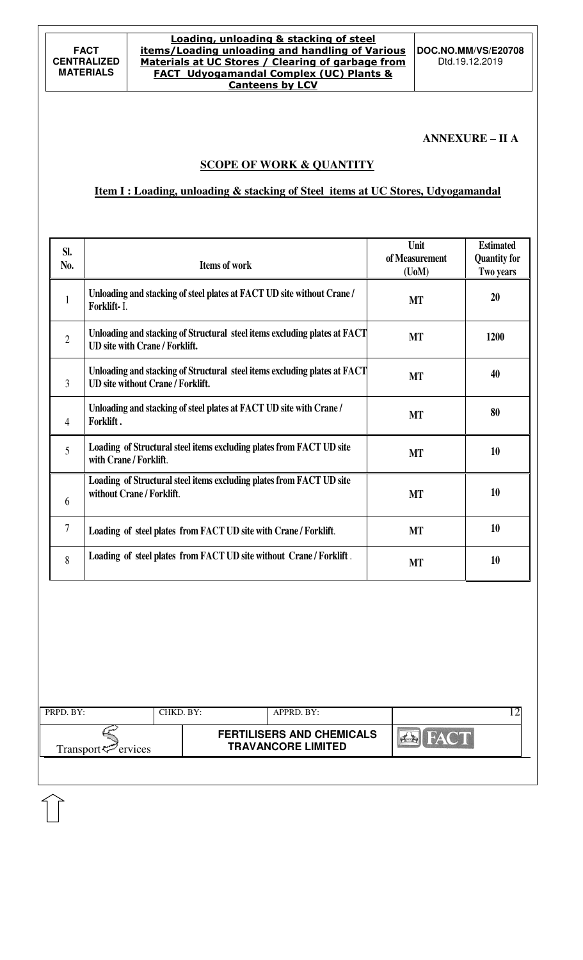**DOC.NO.MM/VS/E20708**  Dtd.19.12.2019

#### **ANNEXURE – II A**

### **SCOPE OF WORK & QUANTITY**

### **Item I : Loading, unloading & stacking of Steel items at UC Stores, Udyogamandal**

| SI.<br>No.     | <b>Items of work</b>                                                                                                  | Unit<br>of Measurement<br>$($ UoM $)$ | <b>Estimated</b><br><b>Quantity for</b><br>Two years |
|----------------|-----------------------------------------------------------------------------------------------------------------------|---------------------------------------|------------------------------------------------------|
| 1              | Unloading and stacking of steel plates at FACT UD site without Crane /<br>Forklift-I.                                 | <b>MT</b>                             | 20                                                   |
| $\overline{2}$ | Unloading and stacking of Structural steel items excluding plates at FACT<br><b>UD</b> site with Crane / Forklift.    | <b>MT</b>                             | 1200                                                 |
| 3              | Unloading and stacking of Structural steel items excluding plates at FACT<br><b>UD</b> site without Crane / Forklift. | <b>MT</b>                             | 40                                                   |
| 4              | Unloading and stacking of steel plates at FACT UD site with Crane /<br>Forklift.                                      | <b>MT</b>                             | 80                                                   |
| 5              | Loading of Structural steel items excluding plates from FACT UD site<br>with Crane / Forklift.                        | <b>MT</b>                             | 10                                                   |
| 6              | Loading of Structural steel items excluding plates from FACT UD site<br>without Crane / Forklift.                     | <b>MT</b>                             | 10                                                   |
| 7              | Loading of steel plates from FACT UD site with Crane / Forklift.                                                      | <b>MT</b>                             | 10                                                   |
| 8              | Loading of steel plates from FACT UD site without Crane / Forklift.                                                   | <b>MT</b>                             | 10                                                   |

| PRPD. BY:                      | CHKD. BY: | APPRD. BY:                                                    |             |
|--------------------------------|-----------|---------------------------------------------------------------|-------------|
| Transport <sup>7</sup> ervices |           | <b>FERTILISERS AND CHEMICALS</b><br><b>TRAVANCORE LIMITED</b> | <b>FACT</b> |
|                                |           |                                                               |             |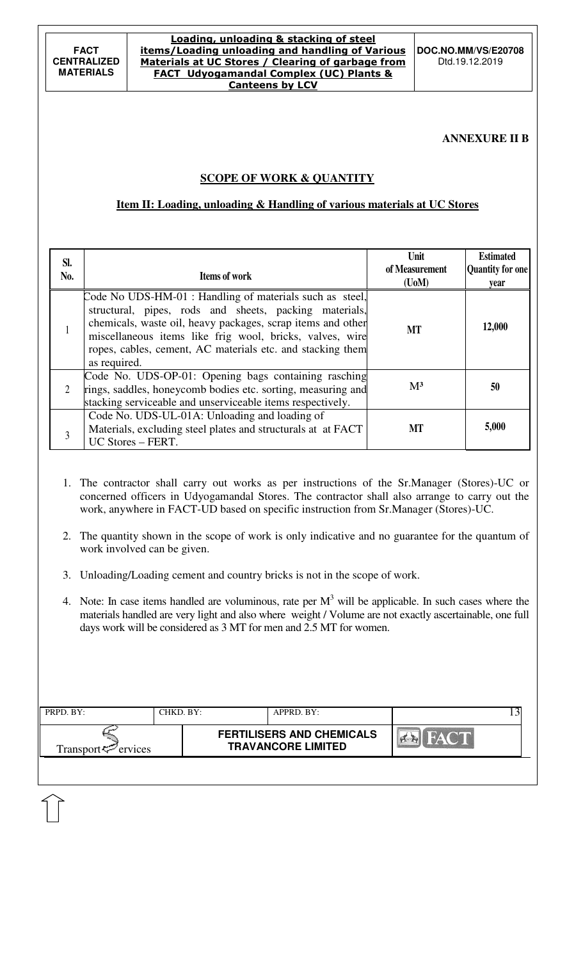#### Loading, unloading & stacking of steel items/Loading unloading and handling of Various Materials at UC Stores / Clearing of garbage from FACT Udyogamandal Complex (UC) Plants & Canteens by LCV

**DOC.NO.MM/VS/E20708**  Dtd.19.12.2019

#### **ANNEXURE II B**

## **SCOPE OF WORK & QUANTITY**

### **Item II: Loading, unloading & Handling of various materials at UC Stores**

| SI.<br>No. | Items of work                                                                                                                                                                                                                                                                                                               | Unit<br>of Measurement<br>$($ UoM $)$ | <b>Estimated</b><br>Quantity for one<br>year |
|------------|-----------------------------------------------------------------------------------------------------------------------------------------------------------------------------------------------------------------------------------------------------------------------------------------------------------------------------|---------------------------------------|----------------------------------------------|
|            | Code No UDS-HM-01 : Handling of materials such as steel,<br>structural, pipes, rods and sheets, packing materials,<br>chemicals, waste oil, heavy packages, scrap items and other<br>miscellaneous items like frig wool, bricks, valves, wire<br>ropes, cables, cement, AC materials etc. and stacking them<br>as required. | <b>MT</b>                             | 12,000                                       |
| 2          | Code No. UDS-OP-01: Opening bags containing rasching<br>rings, saddles, honeycomb bodies etc. sorting, measuring and<br>stacking serviceable and unserviceable items respectively.                                                                                                                                          | $M^3$                                 | 50                                           |
| 3          | Code No. UDS-UL-01A: Unloading and loading of<br>Materials, excluding steel plates and structurals at at FACT<br>UC Stores - FERT.                                                                                                                                                                                          | МT                                    | 5,000                                        |

- 1. The contractor shall carry out works as per instructions of the Sr.Manager (Stores)-UC or concerned officers in Udyogamandal Stores. The contractor shall also arrange to carry out the work, anywhere in FACT-UD based on specific instruction from Sr.Manager (Stores)-UC.
- 2. The quantity shown in the scope of work is only indicative and no guarantee for the quantum of work involved can be given.
- 3. Unloading/Loading cement and country bricks is not in the scope of work.
- 4. Note: In case items handled are voluminous, rate per  $M<sup>3</sup>$  will be applicable. In such cases where the materials handled are very light and also where weight / Volume are not exactly ascertainable, one full days work will be considered as 3 MT for men and 2.5 MT for women.

| PRPD. BY:                   | CHKD. BY: | APPRD. BY:                                                    |             |
|-----------------------------|-----------|---------------------------------------------------------------|-------------|
| Transport $\approx$ ervices |           | <b>FERTILISERS AND CHEMICALS</b><br><b>TRAVANCORE LIMITED</b> | <b>FACT</b> |
|                             |           |                                                               |             |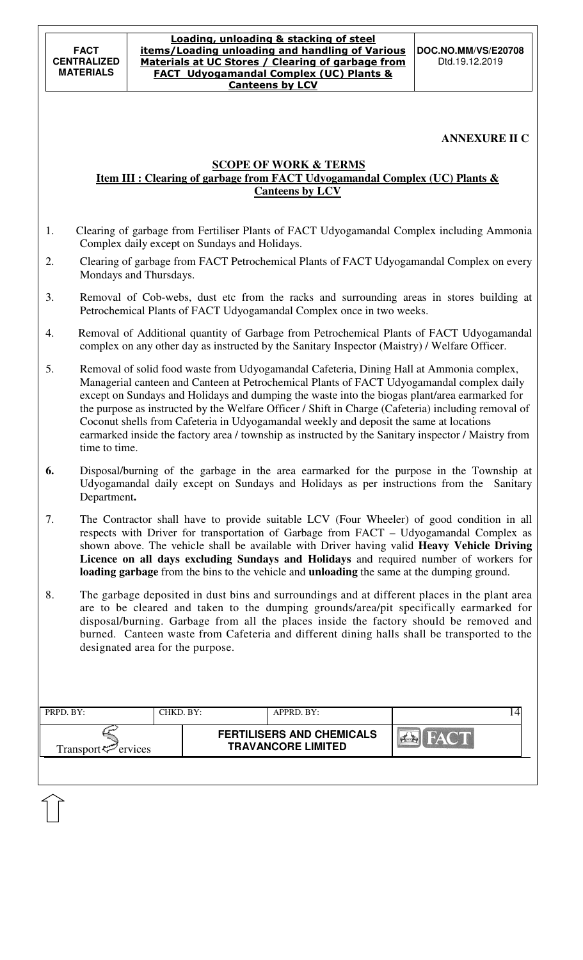### **ANNEXURE II C**

### **SCOPE OF WORK & TERMS**

### **Item III : Clearing of garbage from FACT Udyogamandal Complex (UC) Plants & Canteens by LCV**

- 1. Clearing of garbage from Fertiliser Plants of FACT Udyogamandal Complex including Ammonia Complex daily except on Sundays and Holidays.
- 2. Clearing of garbage from FACT Petrochemical Plants of FACT Udyogamandal Complex on every Mondays and Thursdays.
- 3. Removal of Cob-webs, dust etc from the racks and surrounding areas in stores building at Petrochemical Plants of FACT Udyogamandal Complex once in two weeks.
- 4. Removal of Additional quantity of Garbage from Petrochemical Plants of FACT Udyogamandal complex on any other day as instructed by the Sanitary Inspector (Maistry) / Welfare Officer.
- 5. Removal of solid food waste from Udyogamandal Cafeteria, Dining Hall at Ammonia complex, Managerial canteen and Canteen at Petrochemical Plants of FACT Udyogamandal complex daily except on Sundays and Holidays and dumping the waste into the biogas plant/area earmarked for the purpose as instructed by the Welfare Officer / Shift in Charge (Cafeteria) including removal of Coconut shells from Cafeteria in Udyogamandal weekly and deposit the same at locations earmarked inside the factory area / township as instructed by the Sanitary inspector / Maistry from time to time.
- **6.** Disposal/burning of the garbage in the area earmarked for the purpose in the Township at Udyogamandal daily except on Sundays and Holidays as per instructions from the Sanitary Department**.**
- 7. The Contractor shall have to provide suitable LCV (Four Wheeler) of good condition in all respects with Driver for transportation of Garbage from FACT – Udyogamandal Complex as shown above. The vehicle shall be available with Driver having valid **Heavy Vehicle Driving Licence on all days excluding Sundays and Holidays** and required number of workers for **loading garbage** from the bins to the vehicle and **unloading** the same at the dumping ground.
- 8. The garbage deposited in dust bins and surroundings and at different places in the plant area are to be cleared and taken to the dumping grounds/area/pit specifically earmarked for disposal/burning. Garbage from all the places inside the factory should be removed and burned. Canteen waste from Cafeteria and different dining halls shall be transported to the designated area for the purpose.

| PRPD. BY:                      | CHKD. BY: | $APPRD$ . BY:                                                 |             |
|--------------------------------|-----------|---------------------------------------------------------------|-------------|
| Transport <sup>7</sup> ervices |           | <b>FERTILISERS AND CHEMICALS</b><br><b>TRAVANCORE LIMITED</b> | <b>FACT</b> |
|                                |           |                                                               |             |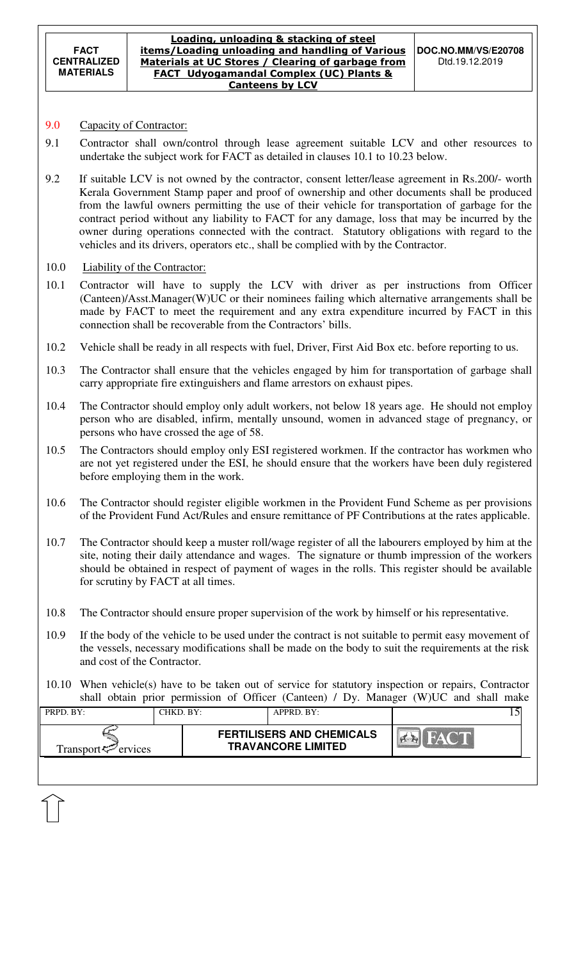#### Loading, unloading & stacking of steel items/Loading unloading and handling of Various Materials at UC Stores / Clearing of garbage from FACT Udyogamandal Complex (UC) Plants & Canteens by LCV

# 9.0 Capacity of Contractor:

- 9.1 Contractor shall own/control through lease agreement suitable LCV and other resources to undertake the subject work for FACT as detailed in clauses 10.1 to 10.23 below.
- 9.2 If suitable LCV is not owned by the contractor, consent letter/lease agreement in Rs.200/- worth Kerala Government Stamp paper and proof of ownership and other documents shall be produced from the lawful owners permitting the use of their vehicle for transportation of garbage for the contract period without any liability to FACT for any damage, loss that may be incurred by the owner during operations connected with the contract. Statutory obligations with regard to the vehicles and its drivers, operators etc., shall be complied with by the Contractor.
- 10.0 Liability of the Contractor:
- 10.1 Contractor will have to supply the LCV with driver as per instructions from Officer (Canteen)/Asst.Manager(W)UC or their nominees failing which alternative arrangements shall be made by FACT to meet the requirement and any extra expenditure incurred by FACT in this connection shall be recoverable from the Contractors' bills.
- 10.2 Vehicle shall be ready in all respects with fuel, Driver, First Aid Box etc. before reporting to us.
- 10.3 The Contractor shall ensure that the vehicles engaged by him for transportation of garbage shall carry appropriate fire extinguishers and flame arrestors on exhaust pipes.
- 10.4 The Contractor should employ only adult workers, not below 18 years age. He should not employ person who are disabled, infirm, mentally unsound, women in advanced stage of pregnancy, or persons who have crossed the age of 58.
- 10.5 The Contractors should employ only ESI registered workmen. If the contractor has workmen who are not yet registered under the ESI, he should ensure that the workers have been duly registered before employing them in the work.
- 10.6 The Contractor should register eligible workmen in the Provident Fund Scheme as per provisions of the Provident Fund Act/Rules and ensure remittance of PF Contributions at the rates applicable.
- 10.7 The Contractor should keep a muster roll/wage register of all the labourers employed by him at the site, noting their daily attendance and wages. The signature or thumb impression of the workers should be obtained in respect of payment of wages in the rolls. This register should be available for scrutiny by FACT at all times.
- 10.8 The Contractor should ensure proper supervision of the work by himself or his representative.
- 10.9 If the body of the vehicle to be used under the contract is not suitable to permit easy movement of the vessels, necessary modifications shall be made on the body to suit the requirements at the risk and cost of the Contractor.
- 10.10 When vehicle(s) have to be taken out of service for statutory inspection or repairs, Contractor shall obtain prior permission of Officer (Canteen) / Dy. Manager (W)UC and shall make

| PRPD. BY:                     | CHKD. BY: | $APPRD$ . BY:                                                 |  |
|-------------------------------|-----------|---------------------------------------------------------------|--|
| $Transport \leq \leq$ ervices |           | <b>FERTILISERS AND CHEMICALS</b><br><b>TRAVANCORE LIMITED</b> |  |
|                               |           |                                                               |  |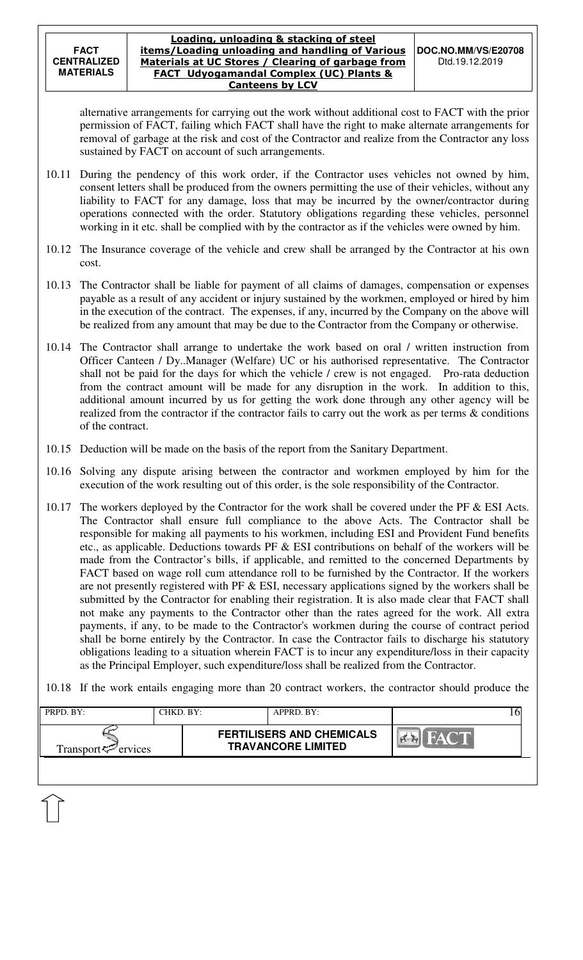alternative arrangements for carrying out the work without additional cost to FACT with the prior permission of FACT, failing which FACT shall have the right to make alternate arrangements for removal of garbage at the risk and cost of the Contractor and realize from the Contractor any loss sustained by FACT on account of such arrangements.

- 10.11 During the pendency of this work order, if the Contractor uses vehicles not owned by him, consent letters shall be produced from the owners permitting the use of their vehicles, without any liability to FACT for any damage, loss that may be incurred by the owner/contractor during operations connected with the order. Statutory obligations regarding these vehicles, personnel working in it etc. shall be complied with by the contractor as if the vehicles were owned by him.
- 10.12 The Insurance coverage of the vehicle and crew shall be arranged by the Contractor at his own cost.
- 10.13 The Contractor shall be liable for payment of all claims of damages, compensation or expenses payable as a result of any accident or injury sustained by the workmen, employed or hired by him in the execution of the contract. The expenses, if any, incurred by the Company on the above will be realized from any amount that may be due to the Contractor from the Company or otherwise.
- 10.14 The Contractor shall arrange to undertake the work based on oral / written instruction from Officer Canteen / Dy..Manager (Welfare) UC or his authorised representative. The Contractor shall not be paid for the days for which the vehicle / crew is not engaged. Pro-rata deduction from the contract amount will be made for any disruption in the work. In addition to this, additional amount incurred by us for getting the work done through any other agency will be realized from the contractor if the contractor fails to carry out the work as per terms & conditions of the contract.
- 10.15 Deduction will be made on the basis of the report from the Sanitary Department.
- 10.16 Solving any dispute arising between the contractor and workmen employed by him for the execution of the work resulting out of this order, is the sole responsibility of the Contractor.
- 10.17 The workers deployed by the Contractor for the work shall be covered under the PF & ESI Acts. The Contractor shall ensure full compliance to the above Acts. The Contractor shall be responsible for making all payments to his workmen, including ESI and Provident Fund benefits etc., as applicable. Deductions towards PF  $\&$  ESI contributions on behalf of the workers will be made from the Contractor's bills, if applicable, and remitted to the concerned Departments by FACT based on wage roll cum attendance roll to be furnished by the Contractor. If the workers are not presently registered with PF & ESI, necessary applications signed by the workers shall be submitted by the Contractor for enabling their registration. It is also made clear that FACT shall not make any payments to the Contractor other than the rates agreed for the work. All extra payments, if any, to be made to the Contractor's workmen during the course of contract period shall be borne entirely by the Contractor. In case the Contractor fails to discharge his statutory obligations leading to a situation wherein FACT is to incur any expenditure/loss in their capacity as the Principal Employer, such expenditure/loss shall be realized from the Contractor.

10.18 If the work entails engaging more than 20 contract workers, the contractor should produce the

| PRPD. BY:                      | CHKD. BY: | $APPRD$ . BY:                                                 |       |
|--------------------------------|-----------|---------------------------------------------------------------|-------|
| Transport <sup>7</sup> ervices |           | <b>FERTILISERS AND CHEMICALS</b><br><b>TRAVANCORE LIMITED</b> | HAY T |
|                                |           |                                                               |       |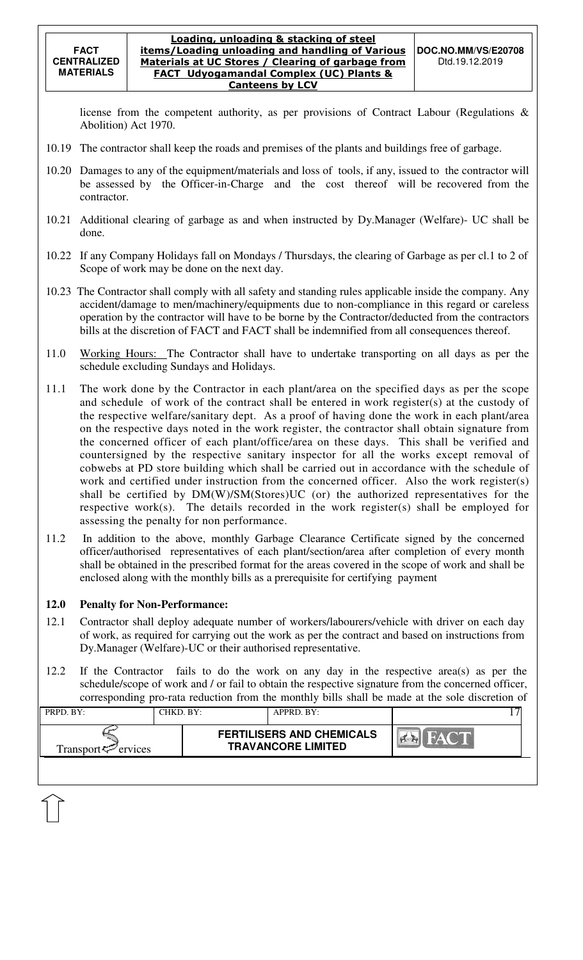license from the competent authority, as per provisions of Contract Labour (Regulations & Abolition) Act 1970.

- 10.19 The contractor shall keep the roads and premises of the plants and buildings free of garbage.
- 10.20 Damages to any of the equipment/materials and loss of tools, if any, issued to the contractor will be assessed by the Officer-in-Charge and the cost thereof will be recovered from the contractor.
- 10.21 Additional clearing of garbage as and when instructed by Dy.Manager (Welfare)- UC shall be done.
- 10.22 If any Company Holidays fall on Mondays / Thursdays, the clearing of Garbage as per cl.1 to 2 of Scope of work may be done on the next day.
- 10.23 The Contractor shall comply with all safety and standing rules applicable inside the company. Any accident/damage to men/machinery/equipments due to non-compliance in this regard or careless operation by the contractor will have to be borne by the Contractor/deducted from the contractors bills at the discretion of FACT and FACT shall be indemnified from all consequences thereof.
- 11.0 Working Hours: The Contractor shall have to undertake transporting on all days as per the schedule excluding Sundays and Holidays.
- 11.1 The work done by the Contractor in each plant/area on the specified days as per the scope and schedule of work of the contract shall be entered in work register(s) at the custody of the respective welfare/sanitary dept. As a proof of having done the work in each plant/area on the respective days noted in the work register, the contractor shall obtain signature from the concerned officer of each plant/office/area on these days. This shall be verified and countersigned by the respective sanitary inspector for all the works except removal of cobwebs at PD store building which shall be carried out in accordance with the schedule of work and certified under instruction from the concerned officer. Also the work register(s) shall be certified by DM(W)/SM(Stores)UC (or) the authorized representatives for the respective work(s). The details recorded in the work register(s) shall be employed for assessing the penalty for non performance.
- 11.2 In addition to the above, monthly Garbage Clearance Certificate signed by the concerned officer/authorised representatives of each plant/section/area after completion of every month shall be obtained in the prescribed format for the areas covered in the scope of work and shall be enclosed along with the monthly bills as a prerequisite for certifying payment

#### **12.0 Penalty for Non-Performance:**

- 12.1 Contractor shall deploy adequate number of workers/labourers/vehicle with driver on each day of work, as required for carrying out the work as per the contract and based on instructions from Dy.Manager (Welfare)-UC or their authorised representative.
- 12.2 If the Contractor fails to do the work on any day in the respective area(s) as per the schedule/scope of work and / or fail to obtain the respective signature from the concerned officer, corresponding pro-rata reduction from the monthly bills shall be made at the sole discretion of

| PRPD. BY:                   | CHKD. BY: | APPRD. BY:                                                    |  |
|-----------------------------|-----------|---------------------------------------------------------------|--|
| Transport $\approx$ ervices |           | <b>FERTILISERS AND CHEMICALS</b><br><b>TRAVANCORE LIMITED</b> |  |
|                             |           |                                                               |  |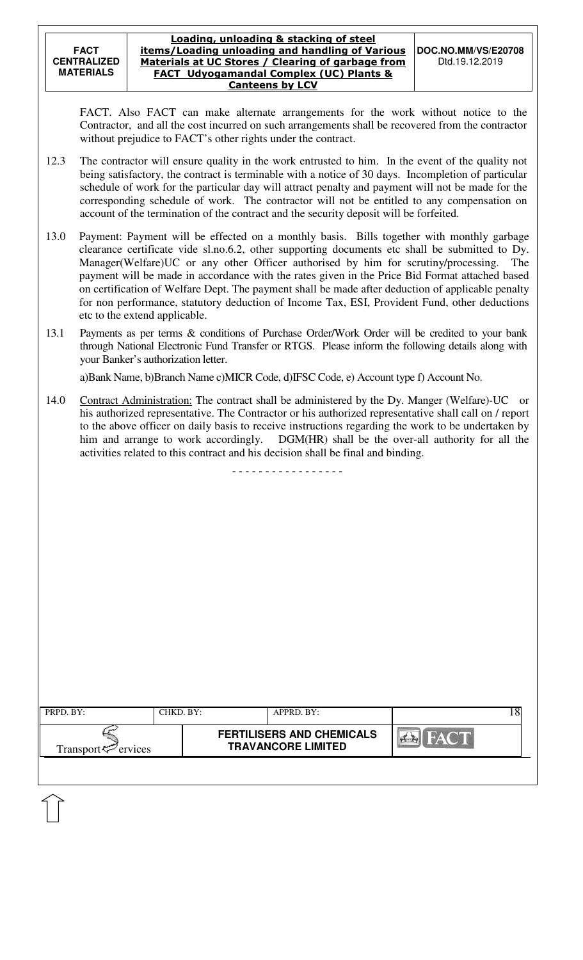FACT. Also FACT can make alternate arrangements for the work without notice to the Contractor, and all the cost incurred on such arrangements shall be recovered from the contractor without prejudice to FACT's other rights under the contract.

- 12.3 The contractor will ensure quality in the work entrusted to him. In the event of the quality not being satisfactory, the contract is terminable with a notice of 30 days. Incompletion of particular schedule of work for the particular day will attract penalty and payment will not be made for the corresponding schedule of work. The contractor will not be entitled to any compensation on account of the termination of the contract and the security deposit will be forfeited.
- 13.0 Payment: Payment will be effected on a monthly basis. Bills together with monthly garbage clearance certificate vide sl.no.6.2, other supporting documents etc shall be submitted to Dy. Manager(Welfare)UC or any other Officer authorised by him for scrutiny/processing. The payment will be made in accordance with the rates given in the Price Bid Format attached based on certification of Welfare Dept. The payment shall be made after deduction of applicable penalty for non performance, statutory deduction of Income Tax, ESI, Provident Fund, other deductions etc to the extend applicable.
- 13.1 Payments as per terms & conditions of Purchase Order/Work Order will be credited to your bank through National Electronic Fund Transfer or RTGS. Please inform the following details along with your Banker's authorization letter.

a)Bank Name, b)Branch Name c)MICR Code, d)IFSC Code, e) Account type f) Account No.

14.0 Contract Administration: The contract shall be administered by the Dy. Manger (Welfare)-UC or his authorized representative. The Contractor or his authorized representative shall call on / report to the above officer on daily basis to receive instructions regarding the work to be undertaken by him and arrange to work accordingly. DGM(HR) shall be the over-all authority for all the activities related to this contract and his decision shall be final and binding.

- - - - - - - - - - - - - - - - -

| <b>FERTILISERS AND CHEMICALS</b><br>FACT<br><b>TRAVANCORE LIMITED</b><br>Transport $\leq$ ervices |  |
|---------------------------------------------------------------------------------------------------|--|
|                                                                                                   |  |
|                                                                                                   |  |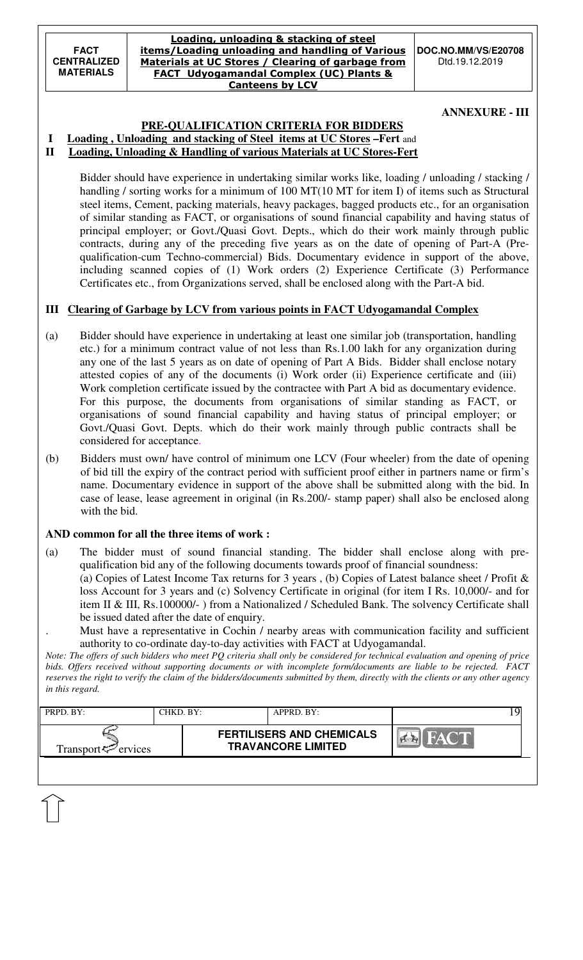#### Loading, unloading & stacking of steel items/Loading unloading and handling of Various Materials at UC Stores / Clearing of garbage from FACT Udyogamandal Complex (UC) Plants & Canteens by LCV

#### **ANNEXURE - III**

# **PRE-QUALIFICATION CRITERIA FOR BIDDERS**

#### **I Loading , Unloading and stacking of Steel items at UC Stores –Fert** and **II Loading, Unloading & Handling of various Materials at UC Stores-Fert**

 Bidder should have experience in undertaking similar works like, loading / unloading / stacking / handling / sorting works for a minimum of 100 MT(10 MT for item I) of items such as Structural steel items, Cement, packing materials, heavy packages, bagged products etc., for an organisation of similar standing as FACT, or organisations of sound financial capability and having status of principal employer; or Govt./Quasi Govt. Depts., which do their work mainly through public contracts, during any of the preceding five years as on the date of opening of Part-A (Prequalification-cum Techno-commercial) Bids. Documentary evidence in support of the above, including scanned copies of (1) Work orders (2) Experience Certificate (3) Performance Certificates etc., from Organizations served, shall be enclosed along with the Part-A bid.

## **III Clearing of Garbage by LCV from various points in FACT Udyogamandal Complex**

- (a) Bidder should have experience in undertaking at least one similar job (transportation, handling etc.) for a minimum contract value of not less than Rs.1.00 lakh for any organization during any one of the last 5 years as on date of opening of Part A Bids. Bidder shall enclose notary attested copies of any of the documents (i) Work order (ii) Experience certificate and (iii) Work completion certificate issued by the contractee with Part A bid as documentary evidence. For this purpose, the documents from organisations of similar standing as FACT, or organisations of sound financial capability and having status of principal employer; or Govt./Quasi Govt. Depts. which do their work mainly through public contracts shall be considered for acceptance.
- (b) Bidders must own/ have control of minimum one LCV (Four wheeler) from the date of opening of bid till the expiry of the contract period with sufficient proof either in partners name or firm's name. Documentary evidence in support of the above shall be submitted along with the bid. In case of lease, lease agreement in original (in Rs.200/- stamp paper) shall also be enclosed along with the bid.

## **AND common for all the three items of work :**

- (a) The bidder must of sound financial standing. The bidder shall enclose along with prequalification bid any of the following documents towards proof of financial soundness: (a) Copies of Latest Income Tax returns for 3 years , (b) Copies of Latest balance sheet / Profit & loss Account for 3 years and (c) Solvency Certificate in original (for item I Rs. 10,000/- and for item II & III, Rs.100000/- ) from a Nationalized / Scheduled Bank. The solvency Certificate shall be issued dated after the date of enquiry.
	- . Must have a representative in Cochin / nearby areas with communication facility and sufficient authority to co-ordinate day-to-day activities with FACT at Udyogamandal.

*Note: The offers of such bidders who meet PQ criteria shall only be considered for technical evaluation and opening of price bids. Offers received without supporting documents or with incomplete form/documents are liable to be rejected. FACT reserves the right to verify the claim of the bidders/documents submitted by them, directly with the clients or any other agency in this regard.* 

|                                                                                                           |  | APPRD. BY: | CHKD. BY: | PRPD. BY: |
|-----------------------------------------------------------------------------------------------------------|--|------------|-----------|-----------|
| <b>FERTILISERS AND CHEMICALS</b><br>HACT.<br><b>TRAVANCORE LIMITED</b><br>Transport $\mathcal{P}$ ervices |  |            |           |           |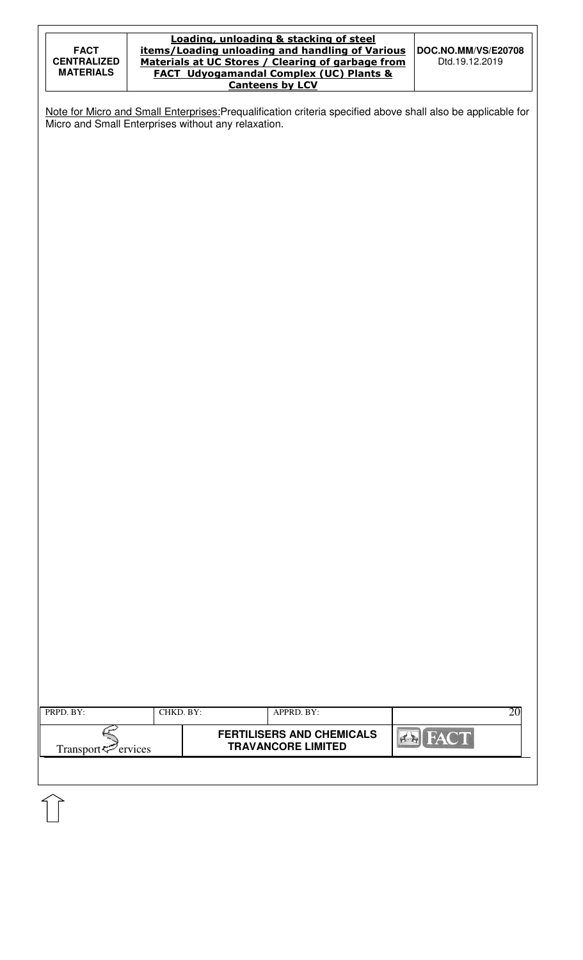|                    | Loading, unloading & stacking of steel             |                            |
|--------------------|----------------------------------------------------|----------------------------|
| <b>FACT</b>        | items/Loading unloading and handling of Various    | <b>DOC.NO.MM/VS/E20708</b> |
| <b>CENTRALIZED</b> | Materials at UC Stores / Clearing of garbage from  | Dtd.19.12.2019             |
| <b>MATERIALS</b>   | <b>FACT Udyogamandal Complex (UC) Plants &amp;</b> |                            |
|                    | <b>Canteens by LCV</b>                             |                            |

Note for Micro and Small Enterprises: Prequalification criteria specified above shall also be applicable for Micro and Small Enterprises without any relaxation.

| PRPD. BY:                   | CHKD. BY: | APPRD. BY:                                                    | 20          |  |  |
|-----------------------------|-----------|---------------------------------------------------------------|-------------|--|--|
| Transport $\approx$ ervices |           | <b>FERTILISERS AND CHEMICALS</b><br><b>TRAVANCORE LIMITED</b> | <b>FACT</b> |  |  |
|                             |           |                                                               |             |  |  |
|                             |           |                                                               |             |  |  |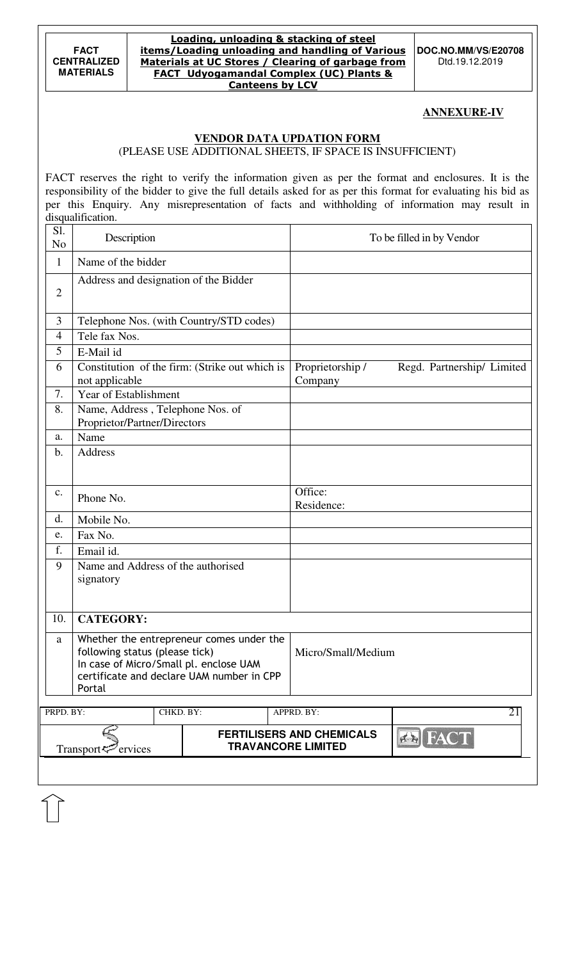#### Loading, unloading & stacking of steel items/Loading unloading and handling of Various Materials at UC Stores / Clearing of garbage from FACT Udyogamandal Complex (UC) Plants & Canteens by LCV

**DOC.NO.MM/VS/E20708**  Dtd.19.12.2019

### **ANNEXURE-IV**

### **VENDOR DATA UPDATION FORM**

(PLEASE USE ADDITIONAL SHEETS, IF SPACE IS INSUFFICIENT)

FACT reserves the right to verify the information given as per the format and enclosures. It is the responsibility of the bidder to give the full details asked for as per this format for evaluating his bid as per this Enquiry. Any misrepresentation of facts and withholding of information may result in disqualification.

| Sl.<br>N <sub>o</sub> | Description                                                                                                                                                                 |           |                                                |  |                                                               | To be filled in by Vendor  |
|-----------------------|-----------------------------------------------------------------------------------------------------------------------------------------------------------------------------|-----------|------------------------------------------------|--|---------------------------------------------------------------|----------------------------|
| $\mathbf{1}$          | Name of the bidder                                                                                                                                                          |           |                                                |  |                                                               |                            |
| $\mathbf{2}$          | Address and designation of the Bidder                                                                                                                                       |           |                                                |  |                                                               |                            |
| 3                     |                                                                                                                                                                             |           | Telephone Nos. (with Country/STD codes)        |  |                                                               |                            |
| 4                     | Tele fax Nos.                                                                                                                                                               |           |                                                |  |                                                               |                            |
| 5                     | E-Mail id                                                                                                                                                                   |           |                                                |  |                                                               |                            |
| 6                     | not applicable                                                                                                                                                              |           | Constitution of the firm: (Strike out which is |  | Proprietorship /<br>Company                                   | Regd. Partnership/ Limited |
| 7.                    | Year of Establishment                                                                                                                                                       |           |                                                |  |                                                               |                            |
| 8.                    | Name, Address, Telephone Nos. of<br>Proprietor/Partner/Directors                                                                                                            |           |                                                |  |                                                               |                            |
| a.                    | Name                                                                                                                                                                        |           |                                                |  |                                                               |                            |
| b.                    | Address                                                                                                                                                                     |           |                                                |  |                                                               |                            |
| c.                    | Phone No.                                                                                                                                                                   |           |                                                |  | Office:<br>Residence:                                         |                            |
| d.                    | Mobile No.                                                                                                                                                                  |           |                                                |  |                                                               |                            |
| e.                    | Fax No.                                                                                                                                                                     |           |                                                |  |                                                               |                            |
| f.                    | Email id.                                                                                                                                                                   |           |                                                |  |                                                               |                            |
| 9                     | Name and Address of the authorised<br>signatory                                                                                                                             |           |                                                |  |                                                               |                            |
| 10.                   | <b>CATEGORY:</b>                                                                                                                                                            |           |                                                |  |                                                               |                            |
| a                     | Whether the entrepreneur comes under the<br>following status (please tick)<br>In case of Micro/Small pl. enclose UAM<br>certificate and declare UAM number in CPP<br>Portal |           |                                                |  | Micro/Small/Medium                                            |                            |
| PRPD. BY:             |                                                                                                                                                                             | CHKD. BY: |                                                |  | APPRD. BY:                                                    | 21                         |
|                       | Transport <sup>7</sup> ervices                                                                                                                                              |           |                                                |  | <b>FERTILISERS AND CHEMICALS</b><br><b>TRAVANCORE LIMITED</b> | <b>EN FACT</b>             |
|                       |                                                                                                                                                                             |           |                                                |  |                                                               |                            |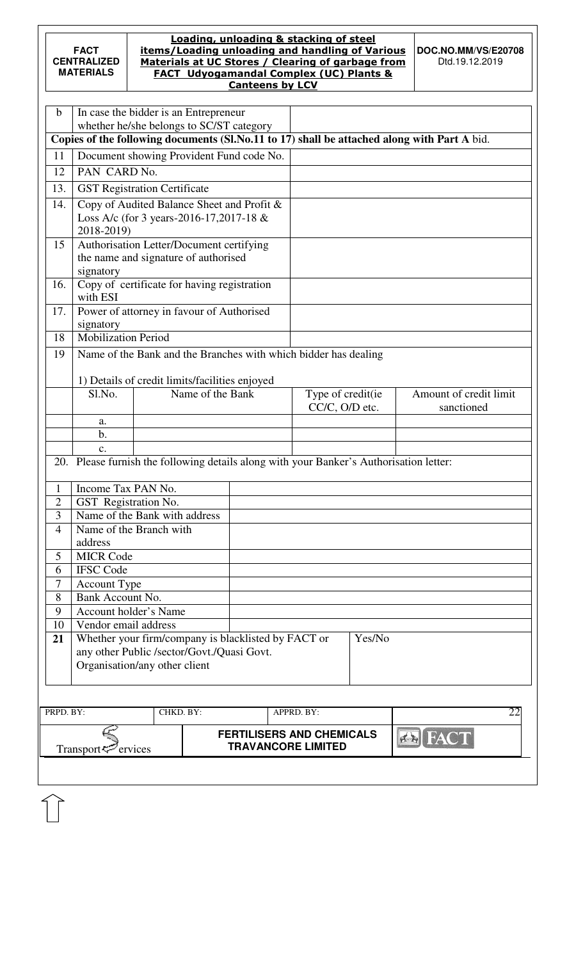ていしょう インタン インタン インタン インタン かんしゃく しゅうしょう じゅんじょう かいしゃ しゅうかい かいしゃ

#### Loading, unloading & stacking of steel items/Loading unloading and handling of Various Materials at UC Stores / Clearing of garbage from FACT Udyogamandal Complex (UC) Plants & Canteens by LCV

**DOC.NO.MM/VS/E20708**  Dtd.19.12.2019

| $\mathbf b$    | In case the bidder is an Entrepreneur                 |           |                  |                                                                                         |        |                                                                                             |
|----------------|-------------------------------------------------------|-----------|------------------|-----------------------------------------------------------------------------------------|--------|---------------------------------------------------------------------------------------------|
|                | whether he/she belongs to SC/ST category              |           |                  |                                                                                         |        | Copies of the following documents (Sl.No.11 to 17) shall be attached along with Part A bid. |
| 11             | Document showing Provident Fund code No.              |           |                  |                                                                                         |        |                                                                                             |
| 12             | PAN CARD No.                                          |           |                  |                                                                                         |        |                                                                                             |
|                |                                                       |           |                  |                                                                                         |        |                                                                                             |
| 13.            | <b>GST Registration Certificate</b>                   |           |                  |                                                                                         |        |                                                                                             |
| 14.            | Copy of Audited Balance Sheet and Profit &            |           |                  |                                                                                         |        |                                                                                             |
|                | Loss A/c (for 3 years-2016-17,2017-18 &<br>2018-2019) |           |                  |                                                                                         |        |                                                                                             |
| 15             | Authorisation Letter/Document certifying              |           |                  |                                                                                         |        |                                                                                             |
|                | the name and signature of authorised                  |           |                  |                                                                                         |        |                                                                                             |
|                | signatory                                             |           |                  |                                                                                         |        |                                                                                             |
| 16.            | Copy of certificate for having registration           |           |                  |                                                                                         |        |                                                                                             |
|                | with ESI                                              |           |                  |                                                                                         |        |                                                                                             |
| 17.            | Power of attorney in favour of Authorised             |           |                  |                                                                                         |        |                                                                                             |
|                | signatory                                             |           |                  |                                                                                         |        |                                                                                             |
| 18             | <b>Mobilization Period</b>                            |           |                  |                                                                                         |        |                                                                                             |
| 19             |                                                       |           |                  | Name of the Bank and the Branches with which bidder has dealing                         |        |                                                                                             |
|                |                                                       |           |                  |                                                                                         |        |                                                                                             |
|                | 1) Details of credit limits/facilities enjoyed        |           |                  |                                                                                         |        |                                                                                             |
|                | Sl.No.                                                |           | Name of the Bank | Type of credit(ie                                                                       |        | Amount of credit limit                                                                      |
|                |                                                       |           |                  | CC/C, O/D etc.                                                                          |        | sanctioned                                                                                  |
|                | a.<br>$\mathbf{b}$ .                                  |           |                  |                                                                                         |        |                                                                                             |
|                | c.                                                    |           |                  |                                                                                         |        |                                                                                             |
|                |                                                       |           |                  | 20. Please furnish the following details along with your Banker's Authorisation letter: |        |                                                                                             |
|                |                                                       |           |                  |                                                                                         |        |                                                                                             |
| $\mathbf{1}$   | Income Tax PAN No.                                    |           |                  |                                                                                         |        |                                                                                             |
| $\overline{2}$ | GST Registration No.                                  |           |                  |                                                                                         |        |                                                                                             |
| 3              | Name of the Bank with address                         |           |                  |                                                                                         |        |                                                                                             |
| $\overline{4}$ | Name of the Branch with                               |           |                  |                                                                                         |        |                                                                                             |
|                | address                                               |           |                  |                                                                                         |        |                                                                                             |
| 5              | <b>MICR Code</b>                                      |           |                  |                                                                                         |        |                                                                                             |
| 6              | <b>IFSC Code</b>                                      |           |                  |                                                                                         |        |                                                                                             |
| 7              | <b>Account Type</b>                                   |           |                  |                                                                                         |        |                                                                                             |
| 8              | Bank Account No.                                      |           |                  |                                                                                         |        |                                                                                             |
| 9              | <b>Account holder's Name</b>                          |           |                  |                                                                                         |        |                                                                                             |
| 10             | Vendor email address                                  |           |                  |                                                                                         |        |                                                                                             |
| 21             | any other Public /sector/Govt./Quasi Govt.            |           |                  | Whether your firm/company is blacklisted by FACT or                                     | Yes/No |                                                                                             |
|                | Organisation/any other client                         |           |                  |                                                                                         |        |                                                                                             |
|                |                                                       |           |                  |                                                                                         |        |                                                                                             |
|                |                                                       |           |                  |                                                                                         |        |                                                                                             |
|                |                                                       |           |                  |                                                                                         |        |                                                                                             |
| PRPD. BY:      |                                                       | CHKD. BY: |                  | APPRD. BY:                                                                              |        | 22                                                                                          |
|                |                                                       |           |                  | <b>FERTILISERS AND CHEMICALS</b>                                                        |        | <b>FAC</b><br>$\sqrt{2}$                                                                    |
|                | Transport                                             | ervices   |                  | <b>TRAVANCORE LIMITED</b>                                                               |        |                                                                                             |
|                |                                                       |           |                  |                                                                                         |        |                                                                                             |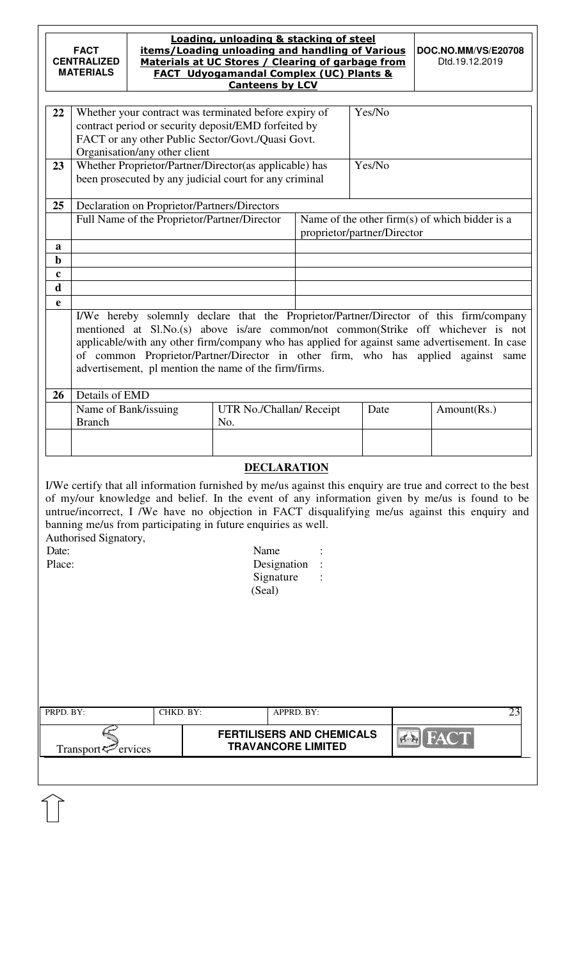| Loading, unloading & stacking of steel<br>items/Loading unloading and handling of Various<br><b>FACT</b><br>Materials at UC Stores / Clearing of garbage from<br><b>CENTRALIZED</b><br><b>MATERIALS</b><br><b>FACT Udyogamandal Complex (UC) Plants &amp;</b><br><b>Canteens by LCV</b>                                                                                                                                                                                                        |                  |                                              |                                                                                                                                                                    |            |                             | DOC.NO.MM/VS/E20708<br>Dtd.19.12.2019                                                                                                                                                                                                                                                                                                                              |  |  |
|------------------------------------------------------------------------------------------------------------------------------------------------------------------------------------------------------------------------------------------------------------------------------------------------------------------------------------------------------------------------------------------------------------------------------------------------------------------------------------------------|------------------|----------------------------------------------|--------------------------------------------------------------------------------------------------------------------------------------------------------------------|------------|-----------------------------|--------------------------------------------------------------------------------------------------------------------------------------------------------------------------------------------------------------------------------------------------------------------------------------------------------------------------------------------------------------------|--|--|
| 22                                                                                                                                                                                                                                                                                                                                                                                                                                                                                             |                  | Organisation/any other client                | Whether your contract was terminated before expiry of<br>contract period or security deposit/EMD forfeited by<br>FACT or any other Public Sector/Govt./Quasi Govt. |            | Yes/No                      |                                                                                                                                                                                                                                                                                                                                                                    |  |  |
| 23                                                                                                                                                                                                                                                                                                                                                                                                                                                                                             |                  |                                              | Whether Proprietor/Partner/Director(as applicable) has<br>been prosecuted by any judicial court for any criminal                                                   |            | Yes/No                      |                                                                                                                                                                                                                                                                                                                                                                    |  |  |
| 25                                                                                                                                                                                                                                                                                                                                                                                                                                                                                             |                  | Declaration on Proprietor/Partners/Directors |                                                                                                                                                                    |            |                             |                                                                                                                                                                                                                                                                                                                                                                    |  |  |
|                                                                                                                                                                                                                                                                                                                                                                                                                                                                                                |                  | Full Name of the Proprietor/Partner/Director |                                                                                                                                                                    |            | proprietor/partner/Director | Name of the other firm(s) of which bidder is a                                                                                                                                                                                                                                                                                                                     |  |  |
| a                                                                                                                                                                                                                                                                                                                                                                                                                                                                                              |                  |                                              |                                                                                                                                                                    |            |                             |                                                                                                                                                                                                                                                                                                                                                                    |  |  |
| $\mathbf b$                                                                                                                                                                                                                                                                                                                                                                                                                                                                                    |                  |                                              |                                                                                                                                                                    |            |                             |                                                                                                                                                                                                                                                                                                                                                                    |  |  |
| $\mathbf c$<br>d                                                                                                                                                                                                                                                                                                                                                                                                                                                                               |                  |                                              |                                                                                                                                                                    |            |                             |                                                                                                                                                                                                                                                                                                                                                                    |  |  |
| e                                                                                                                                                                                                                                                                                                                                                                                                                                                                                              |                  |                                              |                                                                                                                                                                    |            |                             |                                                                                                                                                                                                                                                                                                                                                                    |  |  |
|                                                                                                                                                                                                                                                                                                                                                                                                                                                                                                |                  |                                              | advertisement, pl mention the name of the firm/firms.                                                                                                              |            |                             | I/We hereby solemnly declare that the Proprietor/Partner/Director of this firm/company<br>mentioned at Sl.No.(s) above is/are common/not common(Strike off whichever is not<br>applicable/with any other firm/company who has applied for against same advertisement. In case<br>of common Proprietor/Partner/Director in other firm, who has applied against same |  |  |
| 26                                                                                                                                                                                                                                                                                                                                                                                                                                                                                             | Details of EMD   |                                              |                                                                                                                                                                    |            |                             |                                                                                                                                                                                                                                                                                                                                                                    |  |  |
|                                                                                                                                                                                                                                                                                                                                                                                                                                                                                                | <b>Branch</b>    | Name of Bank/issuing                         | UTR No./Challan/ Receipt<br>No.                                                                                                                                    |            | Date                        | Amount(Rs.)                                                                                                                                                                                                                                                                                                                                                        |  |  |
|                                                                                                                                                                                                                                                                                                                                                                                                                                                                                                |                  |                                              |                                                                                                                                                                    |            |                             |                                                                                                                                                                                                                                                                                                                                                                    |  |  |
|                                                                                                                                                                                                                                                                                                                                                                                                                                                                                                |                  |                                              |                                                                                                                                                                    |            |                             |                                                                                                                                                                                                                                                                                                                                                                    |  |  |
| <b>DECLARATION</b><br>I/We certify that all information furnished by me/us against this enquiry are true and correct to the best<br>of my/our knowledge and belief. In the event of any information given by me/us is found to be<br>untrue/incorrect, I /We have no objection in FACT disqualifying me/us against this enquiry and<br>banning me/us from participating in future enquiries as well.<br>Authorised Signatory,<br>Date:<br>Name<br>Place:<br>Designation<br>Signature<br>(Seal) |                  |                                              |                                                                                                                                                                    |            |                             |                                                                                                                                                                                                                                                                                                                                                                    |  |  |
| PRPD. BY:                                                                                                                                                                                                                                                                                                                                                                                                                                                                                      |                  | CHKD. BY:                                    |                                                                                                                                                                    | APPRD. BY: |                             | 23                                                                                                                                                                                                                                                                                                                                                                 |  |  |
|                                                                                                                                                                                                                                                                                                                                                                                                                                                                                                | Transport $\leq$ | Pervices                                     | <b>FERTILISERS AND CHEMICALS</b><br><b>TRAVANCORE LIMITED</b>                                                                                                      |            |                             |                                                                                                                                                                                                                                                                                                                                                                    |  |  |
|                                                                                                                                                                                                                                                                                                                                                                                                                                                                                                |                  |                                              |                                                                                                                                                                    |            |                             |                                                                                                                                                                                                                                                                                                                                                                    |  |  |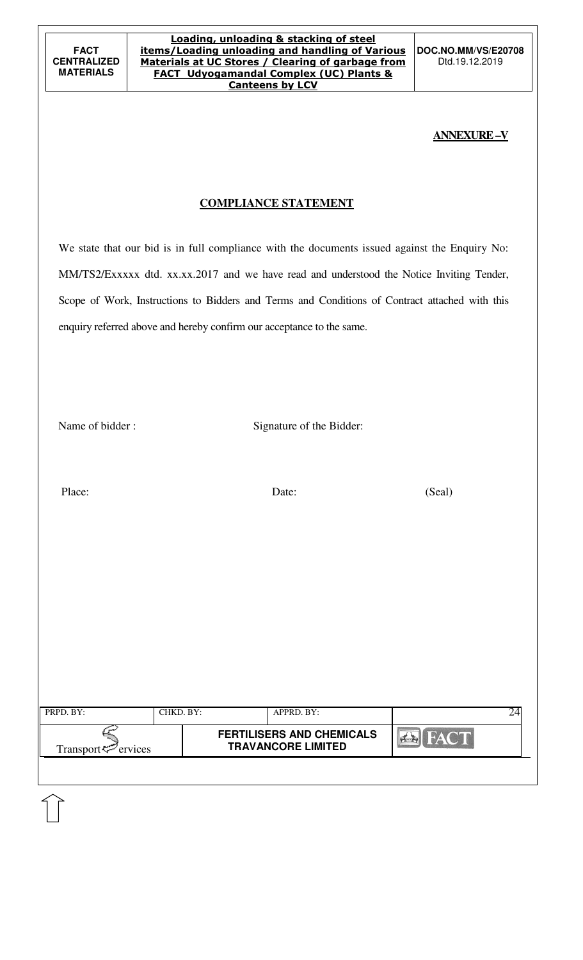**DOC.NO.MM/VS/E20708**  Dtd.19.12.2019

## **ANNEXURE –V**

# **COMPLIANCE STATEMENT**

We state that our bid is in full compliance with the documents issued against the Enquiry No: MM/TS2/Exxxxx dtd. xx.xx.2017 and we have read and understood the Notice Inviting Tender, Scope of Work, Instructions to Bidders and Terms and Conditions of Contract attached with this enquiry referred above and hereby confirm our acceptance to the same.

Name of bidder : Signature of the Bidder:

Place: Date: Date: (Seal)

| PRPD. BY:                | CHKD. BY: | APPRD. BY:                                                    |             |  |
|--------------------------|-----------|---------------------------------------------------------------|-------------|--|
| Transport $\leq$ ervices |           | <b>FERTILISERS AND CHEMICALS</b><br><b>TRAVANCORE LIMITED</b> | <b>FACT</b> |  |
|                          |           |                                                               |             |  |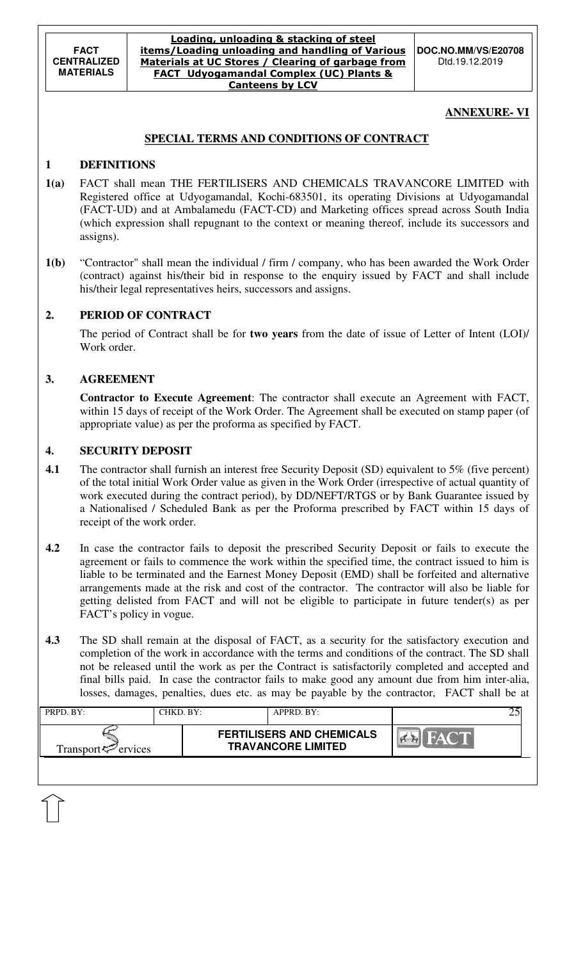#### Loading, unloading & stacking of steel items/Loading unloading and handling of Various Materials at UC Stores / Clearing of garbage from FACT Udyogamandal Complex (UC) Plants & Canteens by LCV

**DOC.NO.MM/VS/E20708**  Dtd.19.12.2019

## **ANNEXURE- VI**

### **SPECIAL TERMS AND CONDITIONS OF CONTRACT**

### **1 DEFINITIONS**

- **1(a)** FACT shall mean THE FERTILISERS AND CHEMICALS TRAVANCORE LIMITED with Registered office at Udyogamandal, Kochi-683501, its operating Divisions at Udyogamandal (FACT-UD) and at Ambalamedu (FACT-CD) and Marketing offices spread across South India (which expression shall repugnant to the context or meaning thereof, include its successors and assigns).
- **1(b)** "Contractor" shall mean the individual / firm / company, who has been awarded the Work Order (contract) against his/their bid in response to the enquiry issued by FACT and shall include his/their legal representatives heirs, successors and assigns.

### **2. PERIOD OF CONTRACT**

 The period of Contract shall be for **two years** from the date of issue of Letter of Intent (LOI)/ Work order.

### **3. AGREEMENT**

 **Contractor to Execute Agreement**: The contractor shall execute an Agreement with FACT, within 15 days of receipt of the Work Order. The Agreement shall be executed on stamp paper (of appropriate value) as per the proforma as specified by FACT.

### **4. SECURITY DEPOSIT**

- **4.1** The contractor shall furnish an interest free Security Deposit (SD) equivalent to 5% (five percent) of the total initial Work Order value as given in the Work Order (irrespective of actual quantity of work executed during the contract period), by DD/NEFT/RTGS or by Bank Guarantee issued by a Nationalised / Scheduled Bank as per the Proforma prescribed by FACT within 15 days of receipt of the work order.
- **4.2** In case the contractor fails to deposit the prescribed Security Deposit or fails to execute the agreement or fails to commence the work within the specified time, the contract issued to him is liable to be terminated and the Earnest Money Deposit (EMD) shall be forfeited and alternative arrangements made at the risk and cost of the contractor. The contractor will also be liable for getting delisted from FACT and will not be eligible to participate in future tender(s) as per FACT's policy in vogue.
- **4.3** The SD shall remain at the disposal of FACT, as a security for the satisfactory execution and completion of the work in accordance with the terms and conditions of the contract. The SD shall not be released until the work as per the Contract is satisfactorily completed and accepted and final bills paid. In case the contractor fails to make good any amount due from him inter-alia, losses, damages, penalties, dues etc. as may be payable by the contractor, FACT shall be at

| PRPD. BY:                      | CHKD. BY: | APPRD. BY:                                                    |  |
|--------------------------------|-----------|---------------------------------------------------------------|--|
| Transport <sup>7</sup> ervices |           | <b>FERTILISERS AND CHEMICALS</b><br><b>TRAVANCORE LIMITED</b> |  |
|                                |           |                                                               |  |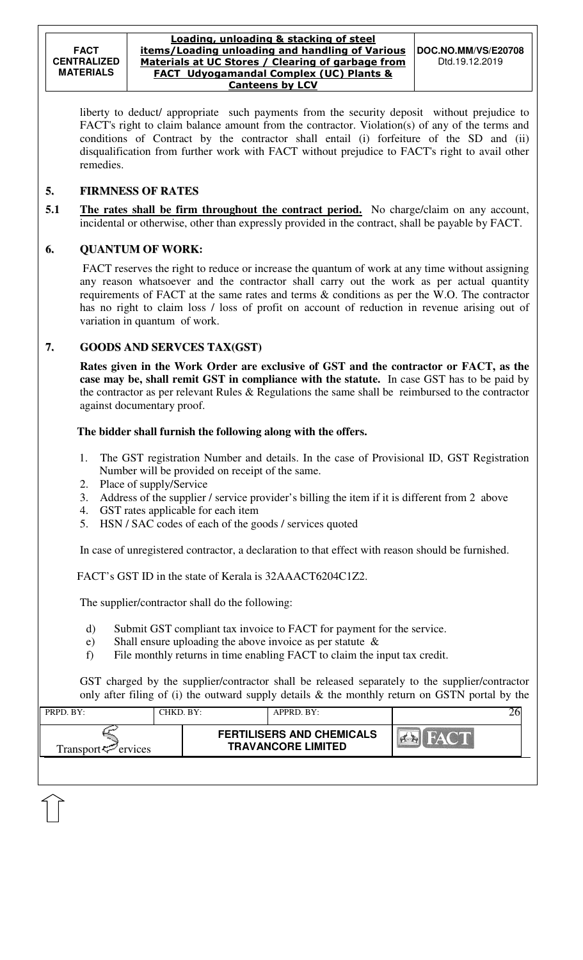liberty to deduct/ appropriate such payments from the security deposit without prejudice to FACT's right to claim balance amount from the contractor. Violation(s) of any of the terms and conditions of Contract by the contractor shall entail (i) forfeiture of the SD and (ii) disqualification from further work with FACT without prejudice to FACT's right to avail other remedies.

### **5. FIRMNESS OF RATES**

**5.1** The rates shall be firm throughout the contract period. No charge/claim on any account, incidental or otherwise, other than expressly provided in the contract, shall be payable by FACT.

### **6. QUANTUM OF WORK:**

 FACT reserves the right to reduce or increase the quantum of work at any time without assigning any reason whatsoever and the contractor shall carry out the work as per actual quantity requirements of FACT at the same rates and terms & conditions as per the W.O. The contractor has no right to claim loss / loss of profit on account of reduction in revenue arising out of variation in quantum of work.

#### **7. GOODS AND SERVCES TAX(GST)**

 **Rates given in the Work Order are exclusive of GST and the contractor or FACT, as the case may be, shall remit GST in compliance with the statute.** In case GST has to be paid by the contractor as per relevant Rules & Regulations the same shall be reimbursed to the contractor against documentary proof.

#### **The bidder shall furnish the following along with the offers.**

- 1. The GST registration Number and details. In the case of Provisional ID, GST Registration Number will be provided on receipt of the same.
- 2. Place of supply/Service
- 3. Address of the supplier / service provider's billing the item if it is different from 2 above
- 4. GST rates applicable for each item
- 5. HSN / SAC codes of each of the goods / services quoted

In case of unregistered contractor, a declaration to that effect with reason should be furnished.

FACT's GST ID in the state of Kerala is 32AAACT6204C1Z2.

The supplier/contractor shall do the following:

- d) Submit GST compliant tax invoice to FACT for payment for the service.
- e) Shall ensure uploading the above invoice as per statute &
- f) File monthly returns in time enabling FACT to claim the input tax credit.

GST charged by the supplier/contractor shall be released separately to the supplier/contractor only after filing of (i) the outward supply details & the monthly return on GSTN portal by the

| PRPD. BY:                   | CHKD. BY: | APPRD. BY:                                                    |                        |
|-----------------------------|-----------|---------------------------------------------------------------|------------------------|
| Transport $\approx$ ervices |           | <b>FERTILISERS AND CHEMICALS</b><br><b>TRAVANCORE LIMITED</b> | $-$ 6 $\sqrt{2}$ V $-$ |
|                             |           |                                                               |                        |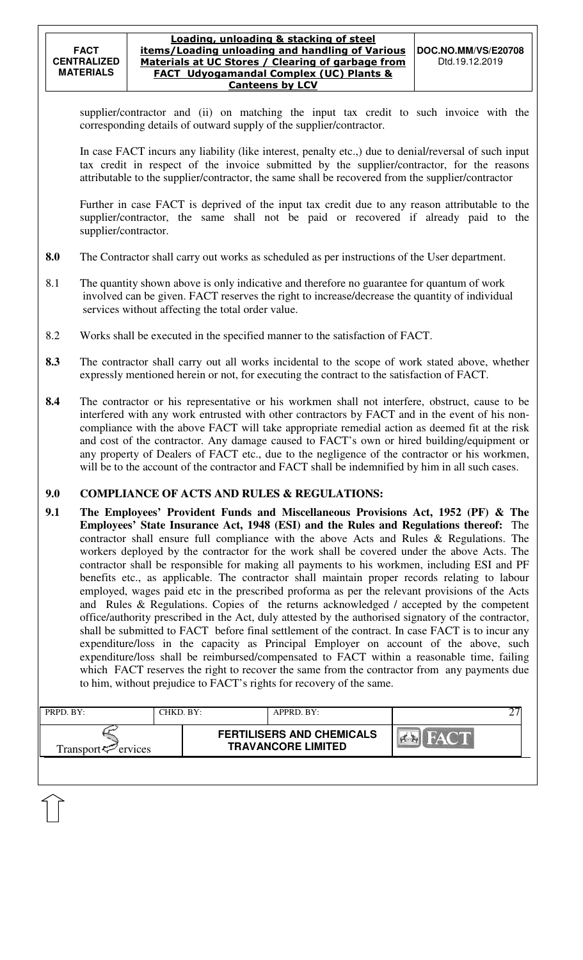supplier/contractor and (ii) on matching the input tax credit to such invoice with the corresponding details of outward supply of the supplier/contractor.

In case FACT incurs any liability (like interest, penalty etc.,) due to denial/reversal of such input tax credit in respect of the invoice submitted by the supplier/contractor, for the reasons attributable to the supplier/contractor, the same shall be recovered from the supplier/contractor

Further in case FACT is deprived of the input tax credit due to any reason attributable to the supplier/contractor, the same shall not be paid or recovered if already paid to the supplier/contractor.

- **8.0** The Contractor shall carry out works as scheduled as per instructions of the User department.
- 8.1 The quantity shown above is only indicative and therefore no guarantee for quantum of work involved can be given. FACT reserves the right to increase/decrease the quantity of individual services without affecting the total order value.
- 8.2 Works shall be executed in the specified manner to the satisfaction of FACT.
- **8.3** The contractor shall carry out all works incidental to the scope of work stated above, whether expressly mentioned herein or not, for executing the contract to the satisfaction of FACT.
- **8.4** The contractor or his representative or his workmen shall not interfere, obstruct, cause to be interfered with any work entrusted with other contractors by FACT and in the event of his noncompliance with the above FACT will take appropriate remedial action as deemed fit at the risk and cost of the contractor. Any damage caused to FACT's own or hired building/equipment or any property of Dealers of FACT etc., due to the negligence of the contractor or his workmen, will be to the account of the contractor and FACT shall be indemnified by him in all such cases.

#### **9.0 COMPLIANCE OF ACTS AND RULES & REGULATIONS:**

**9.1 The Employees' Provident Funds and Miscellaneous Provisions Act, 1952 (PF) & The Employees' State Insurance Act, 1948 (ESI) and the Rules and Regulations thereof:** The contractor shall ensure full compliance with the above Acts and Rules & Regulations. The workers deployed by the contractor for the work shall be covered under the above Acts. The contractor shall be responsible for making all payments to his workmen, including ESI and PF benefits etc., as applicable. The contractor shall maintain proper records relating to labour employed, wages paid etc in the prescribed proforma as per the relevant provisions of the Acts and Rules & Regulations. Copies of the returns acknowledged / accepted by the competent office/authority prescribed in the Act, duly attested by the authorised signatory of the contractor, shall be submitted to FACT before final settlement of the contract. In case FACT is to incur any expenditure/loss in the capacity as Principal Employer on account of the above, such expenditure/loss shall be reimbursed/compensated to FACT within a reasonable time, failing which FACT reserves the right to recover the same from the contractor from any payments due to him, without prejudice to FACT's rights for recovery of the same.

| PRPD. BY:                   | CHKD. BY: | APPRD. BY:                                                    |             |  |
|-----------------------------|-----------|---------------------------------------------------------------|-------------|--|
| Transport $\approx$ ervices |           | <b>FERTILISERS AND CHEMICALS</b><br><b>TRAVANCORE LIMITED</b> | <b>FACT</b> |  |
|                             |           |                                                               |             |  |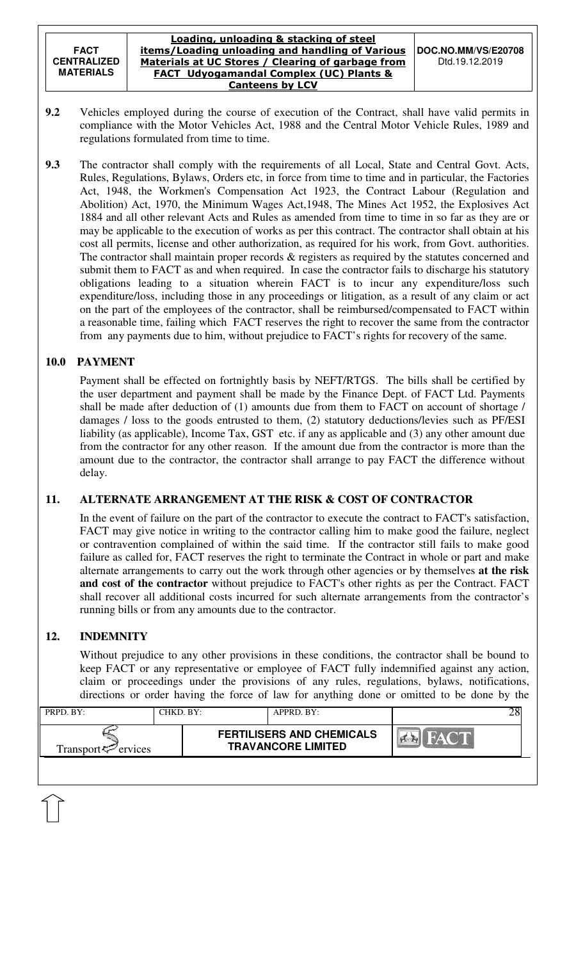- **9.2** Vehicles employed during the course of execution of the Contract, shall have valid permits in compliance with the Motor Vehicles Act, 1988 and the Central Motor Vehicle Rules, 1989 and regulations formulated from time to time.
- **9.3** The contractor shall comply with the requirements of all Local, State and Central Govt. Acts, Rules, Regulations, Bylaws, Orders etc, in force from time to time and in particular, the Factories Act, 1948, the Workmen's Compensation Act 1923, the Contract Labour (Regulation and Abolition) Act, 1970, the Minimum Wages Act,1948, The Mines Act 1952, the Explosives Act 1884 and all other relevant Acts and Rules as amended from time to time in so far as they are or may be applicable to the execution of works as per this contract. The contractor shall obtain at his cost all permits, license and other authorization, as required for his work, from Govt. authorities. The contractor shall maintain proper records & registers as required by the statutes concerned and submit them to FACT as and when required. In case the contractor fails to discharge his statutory obligations leading to a situation wherein FACT is to incur any expenditure/loss such expenditure/loss, including those in any proceedings or litigation, as a result of any claim or act on the part of the employees of the contractor, shall be reimbursed/compensated to FACT within a reasonable time, failing which FACT reserves the right to recover the same from the contractor from any payments due to him, without prejudice to FACT's rights for recovery of the same.

## **10.0 PAYMENT**

Payment shall be effected on fortnightly basis by NEFT/RTGS. The bills shall be certified by the user department and payment shall be made by the Finance Dept. of FACT Ltd. Payments shall be made after deduction of (1) amounts due from them to FACT on account of shortage / damages / loss to the goods entrusted to them, (2) statutory deductions/levies such as PF/ESI liability (as applicable), Income Tax, GST etc. if any as applicable and (3) any other amount due from the contractor for any other reason. If the amount due from the contractor is more than the amount due to the contractor, the contractor shall arrange to pay FACT the difference without delay.

## **11. ALTERNATE ARRANGEMENT AT THE RISK & COST OF CONTRACTOR**

In the event of failure on the part of the contractor to execute the contract to FACT's satisfaction, FACT may give notice in writing to the contractor calling him to make good the failure, neglect or contravention complained of within the said time. If the contractor still fails to make good failure as called for, FACT reserves the right to terminate the Contract in whole or part and make alternate arrangements to carry out the work through other agencies or by themselves **at the risk and cost of the contractor** without prejudice to FACT's other rights as per the Contract. FACT shall recover all additional costs incurred for such alternate arrangements from the contractor's running bills or from any amounts due to the contractor.

# **12. INDEMNITY**

Without prejudice to any other provisions in these conditions, the contractor shall be bound to keep FACT or any representative or employee of FACT fully indemnified against any action, claim or proceedings under the provisions of any rules, regulations, bylaws, notifications, directions or order having the force of law for anything done or omitted to be done by the

| PRPD. BY:                   | CHKD. BY: | APPRD. BY:                                                    |  |
|-----------------------------|-----------|---------------------------------------------------------------|--|
| Transport $\approx$ ervices |           | <b>FERTILISERS AND CHEMICALS</b><br><b>TRAVANCORE LIMITED</b> |  |
|                             |           |                                                               |  |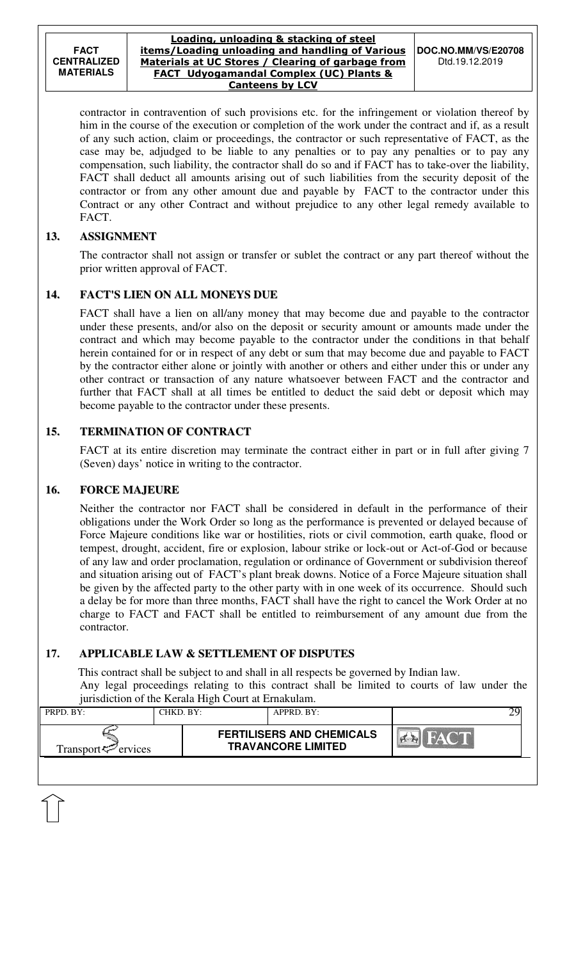contractor in contravention of such provisions etc. for the infringement or violation thereof by him in the course of the execution or completion of the work under the contract and if, as a result of any such action, claim or proceedings, the contractor or such representative of FACT, as the case may be, adjudged to be liable to any penalties or to pay any penalties or to pay any compensation, such liability, the contractor shall do so and if FACT has to take-over the liability, FACT shall deduct all amounts arising out of such liabilities from the security deposit of the contractor or from any other amount due and payable by FACT to the contractor under this Contract or any other Contract and without prejudice to any other legal remedy available to FACT.

### **13. ASSIGNMENT**

 The contractor shall not assign or transfer or sublet the contract or any part thereof without the prior written approval of FACT.

## **14. FACT'S LIEN ON ALL MONEYS DUE**

 FACT shall have a lien on all/any money that may become due and payable to the contractor under these presents, and/or also on the deposit or security amount or amounts made under the contract and which may become payable to the contractor under the conditions in that behalf herein contained for or in respect of any debt or sum that may become due and payable to FACT by the contractor either alone or jointly with another or others and either under this or under any other contract or transaction of any nature whatsoever between FACT and the contractor and further that FACT shall at all times be entitled to deduct the said debt or deposit which may become payable to the contractor under these presents.

### **15. TERMINATION OF CONTRACT**

FACT at its entire discretion may terminate the contract either in part or in full after giving 7 (Seven) days' notice in writing to the contractor.

#### **16. FORCE MAJEURE**

Neither the contractor nor FACT shall be considered in default in the performance of their obligations under the Work Order so long as the performance is prevented or delayed because of Force Majeure conditions like war or hostilities, riots or civil commotion, earth quake, flood or tempest, drought, accident, fire or explosion, labour strike or lock-out or Act-of-God or because of any law and order proclamation, regulation or ordinance of Government or subdivision thereof and situation arising out of FACT's plant break downs. Notice of a Force Majeure situation shall be given by the affected party to the other party with in one week of its occurrence. Should such a delay be for more than three months, FACT shall have the right to cancel the Work Order at no charge to FACT and FACT shall be entitled to reimbursement of any amount due from the contractor.

## **17. APPLICABLE LAW & SETTLEMENT OF DISPUTES**

 This contract shall be subject to and shall in all respects be governed by Indian law. Any legal proceedings relating to this contract shall be limited to courts of law under the jurisdiction of the Kerala High Court at Ernakulam.

| PRPD. BY:                   | CHKD, BY: | $APPRD$ . BY:                                                 |  |
|-----------------------------|-----------|---------------------------------------------------------------|--|
| Transport $\approx$ ervices |           | <b>FERTILISERS AND CHEMICALS</b><br><b>TRAVANCORE LIMITED</b> |  |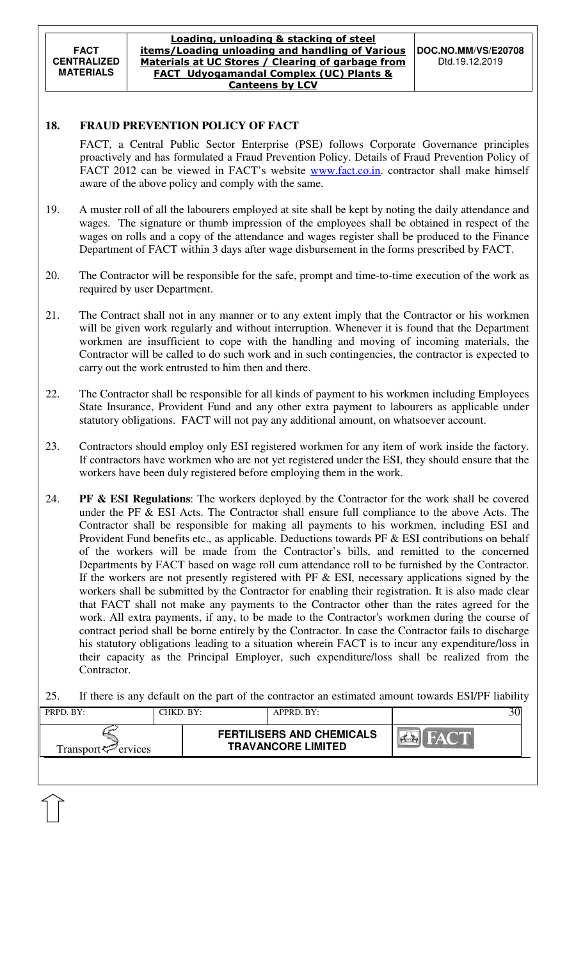### **18. FRAUD PREVENTION POLICY OF FACT**

FACT, a Central Public Sector Enterprise (PSE) follows Corporate Governance principles proactively and has formulated a Fraud Prevention Policy. Details of Fraud Prevention Policy of FACT 2012 can be viewed in FACT's website **www.fact.co.in**. contractor shall make himself aware of the above policy and comply with the same.

- 19. A muster roll of all the labourers employed at site shall be kept by noting the daily attendance and wages. The signature or thumb impression of the employees shall be obtained in respect of the wages on rolls and a copy of the attendance and wages register shall be produced to the Finance Department of FACT within 3 days after wage disbursement in the forms prescribed by FACT.
- 20. The Contractor will be responsible for the safe, prompt and time-to-time execution of the work as required by user Department.
- 21. The Contract shall not in any manner or to any extent imply that the Contractor or his workmen will be given work regularly and without interruption. Whenever it is found that the Department workmen are insufficient to cope with the handling and moving of incoming materials, the Contractor will be called to do such work and in such contingencies, the contractor is expected to carry out the work entrusted to him then and there.
- 22. The Contractor shall be responsible for all kinds of payment to his workmen including Employees State Insurance, Provident Fund and any other extra payment to labourers as applicable under statutory obligations. FACT will not pay any additional amount, on whatsoever account.
- 23. Contractors should employ only ESI registered workmen for any item of work inside the factory. If contractors have workmen who are not yet registered under the ESI, they should ensure that the workers have been duly registered before employing them in the work.
- 24. **PF & ESI Regulations**: The workers deployed by the Contractor for the work shall be covered under the PF & ESI Acts. The Contractor shall ensure full compliance to the above Acts. The Contractor shall be responsible for making all payments to his workmen, including ESI and Provident Fund benefits etc., as applicable. Deductions towards PF & ESI contributions on behalf of the workers will be made from the Contractor's bills, and remitted to the concerned Departments by FACT based on wage roll cum attendance roll to be furnished by the Contractor. If the workers are not presently registered with PF  $\&$  ESI, necessary applications signed by the workers shall be submitted by the Contractor for enabling their registration. It is also made clear that FACT shall not make any payments to the Contractor other than the rates agreed for the work. All extra payments, if any, to be made to the Contractor's workmen during the course of contract period shall be borne entirely by the Contractor. In case the Contractor fails to discharge his statutory obligations leading to a situation wherein FACT is to incur any expenditure/loss in their capacity as the Principal Employer, such expenditure/loss shall be realized from the Contractor.
- 25. If there is any default on the part of the contractor an estimated amount towards ESI/PF liability

| PRPD. BY:                   | CHKD. BY: | APPRD. BY:                                                    |  |
|-----------------------------|-----------|---------------------------------------------------------------|--|
| Transport $\approx$ ervices |           | <b>FERTILISERS AND CHEMICALS</b><br><b>TRAVANCORE LIMITED</b> |  |
|                             |           |                                                               |  |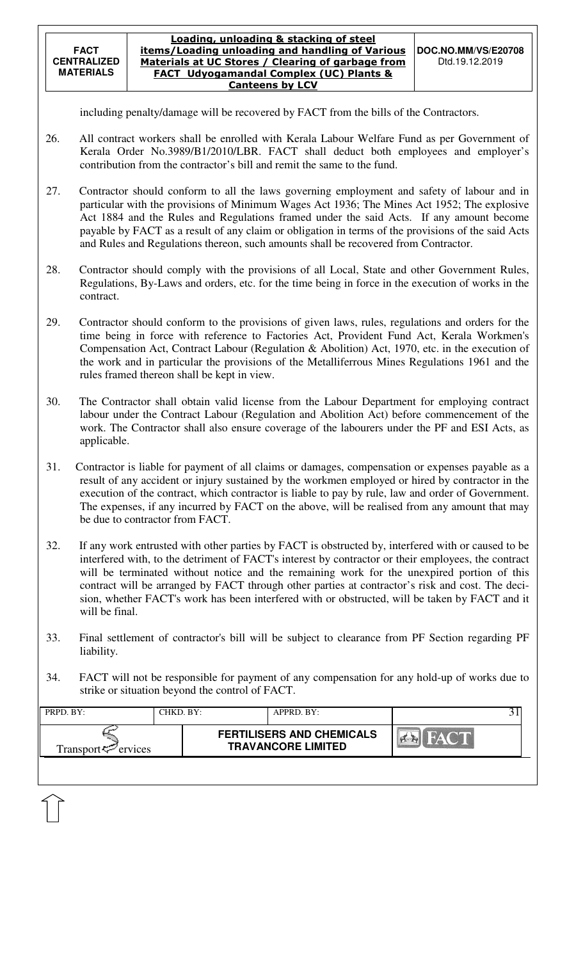- 26. All contract workers shall be enrolled with Kerala Labour Welfare Fund as per Government of Kerala Order No.3989/B1/2010/LBR. FACT shall deduct both employees and employer's contribution from the contractor's bill and remit the same to the fund.
- 27. Contractor should conform to all the laws governing employment and safety of labour and in particular with the provisions of Minimum Wages Act 1936; The Mines Act 1952; The explosive Act 1884 and the Rules and Regulations framed under the said Acts. If any amount become payable by FACT as a result of any claim or obligation in terms of the provisions of the said Acts and Rules and Regulations thereon, such amounts shall be recovered from Contractor.
- 28. Contractor should comply with the provisions of all Local, State and other Government Rules, Regulations, By-Laws and orders, etc. for the time being in force in the execution of works in the contract.
- 29. Contractor should conform to the provisions of given laws, rules, regulations and orders for the time being in force with reference to Factories Act, Provident Fund Act, Kerala Workmen's Compensation Act, Contract Labour (Regulation & Abolition) Act, 1970, etc. in the execution of the work and in particular the provisions of the Metalliferrous Mines Regulations 1961 and the rules framed thereon shall be kept in view.
- 30. The Contractor shall obtain valid license from the Labour Department for employing contract labour under the Contract Labour (Regulation and Abolition Act) before commencement of the work. The Contractor shall also ensure coverage of the labourers under the PF and ESI Acts, as applicable.
- 31. Contractor is liable for payment of all claims or damages, compensation or expenses payable as a result of any accident or injury sustained by the workmen employed or hired by contractor in the execution of the contract, which contractor is liable to pay by rule, law and order of Government. The expenses, if any incurred by FACT on the above, will be realised from any amount that may be due to contractor from FACT.
- 32. If any work entrusted with other parties by FACT is obstructed by, interfered with or caused to be interfered with, to the detriment of FACT's interest by contractor or their employees, the contract will be terminated without notice and the remaining work for the unexpired portion of this contract will be arranged by FACT through other parties at contractor's risk and cost. The decision, whether FACT's work has been interfered with or obstructed, will be taken by FACT and it will be final.
- 33. Final settlement of contractor's bill will be subject to clearance from PF Section regarding PF liability.
- 34. FACT will not be responsible for payment of any compensation for any hold-up of works due to strike or situation beyond the control of FACT.

| PRPD. BY:                       | CHKD. BY: | $APPRD$ . $BY$ :                                              |       |
|---------------------------------|-----------|---------------------------------------------------------------|-------|
| Transport <sup>ry</sup> ervices |           | <b>FERTILISERS AND CHEMICALS</b><br><b>TRAVANCORE LIMITED</b> | HAY T |
|                                 |           |                                                               |       |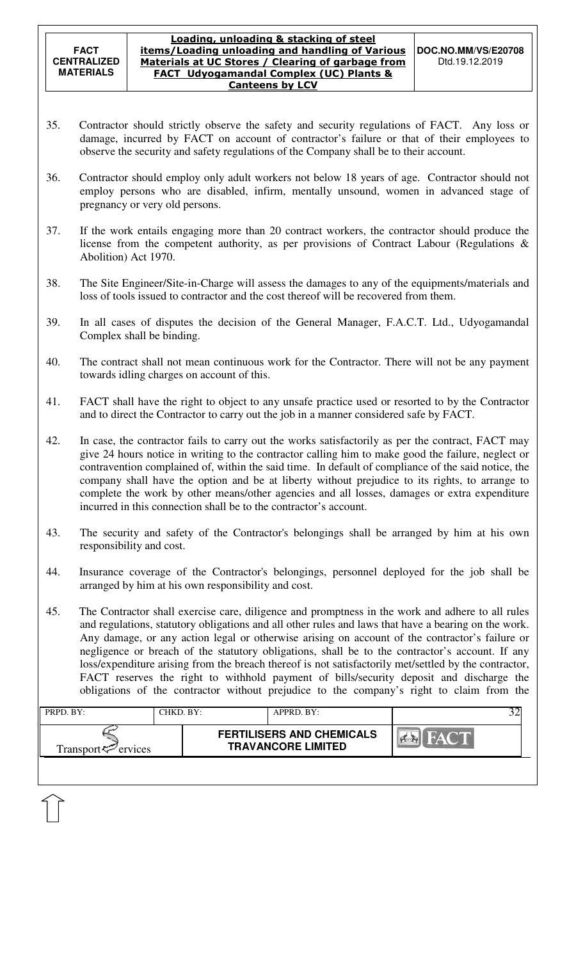- 35. Contractor should strictly observe the safety and security regulations of FACT. Any loss or damage, incurred by FACT on account of contractor's failure or that of their employees to observe the security and safety regulations of the Company shall be to their account.
- 36. Contractor should employ only adult workers not below 18 years of age. Contractor should not employ persons who are disabled, infirm, mentally unsound, women in advanced stage of pregnancy or very old persons.
- 37. If the work entails engaging more than 20 contract workers, the contractor should produce the license from the competent authority, as per provisions of Contract Labour (Regulations & Abolition) Act 1970.
- 38. The Site Engineer/Site-in-Charge will assess the damages to any of the equipments/materials and loss of tools issued to contractor and the cost thereof will be recovered from them.
- 39. In all cases of disputes the decision of the General Manager, F.A.C.T. Ltd., Udyogamandal Complex shall be binding.
- 40. The contract shall not mean continuous work for the Contractor. There will not be any payment towards idling charges on account of this.
- 41. FACT shall have the right to object to any unsafe practice used or resorted to by the Contractor and to direct the Contractor to carry out the job in a manner considered safe by FACT.
- 42. In case, the contractor fails to carry out the works satisfactorily as per the contract, FACT may give 24 hours notice in writing to the contractor calling him to make good the failure, neglect or contravention complained of, within the said time. In default of compliance of the said notice, the company shall have the option and be at liberty without prejudice to its rights, to arrange to complete the work by other means/other agencies and all losses, damages or extra expenditure incurred in this connection shall be to the contractor's account.
- 43. The security and safety of the Contractor's belongings shall be arranged by him at his own responsibility and cost.
- 44. Insurance coverage of the Contractor's belongings, personnel deployed for the job shall be arranged by him at his own responsibility and cost.
- 45. The Contractor shall exercise care, diligence and promptness in the work and adhere to all rules and regulations, statutory obligations and all other rules and laws that have a bearing on the work. Any damage, or any action legal or otherwise arising on account of the contractor's failure or negligence or breach of the statutory obligations, shall be to the contractor's account. If any loss/expenditure arising from the breach thereof is not satisfactorily met/settled by the contractor, FACT reserves the right to withhold payment of bills/security deposit and discharge the obligations of the contractor without prejudice to the company's right to claim from the

| PRPD. BY:                   | CHKD. BY: | APPRD. BY:                                                    |             |  |
|-----------------------------|-----------|---------------------------------------------------------------|-------------|--|
| Transport $\approx$ ervices |           | <b>FERTILISERS AND CHEMICALS</b><br><b>TRAVANCORE LIMITED</b> | <b>HACT</b> |  |
|                             |           |                                                               |             |  |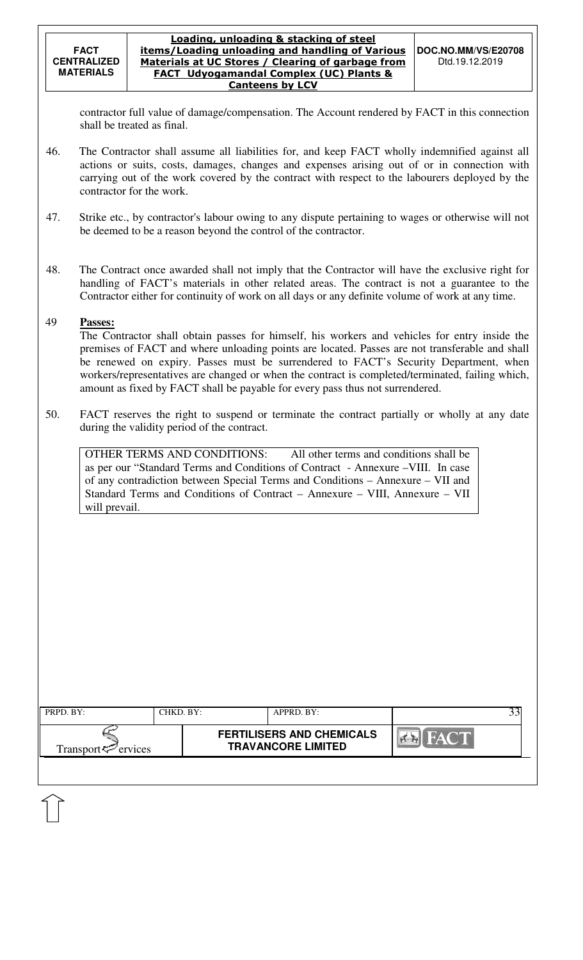contractor full value of damage/compensation. The Account rendered by FACT in this connection shall be treated as final.

- 46. The Contractor shall assume all liabilities for, and keep FACT wholly indemnified against all actions or suits, costs, damages, changes and expenses arising out of or in connection with carrying out of the work covered by the contract with respect to the labourers deployed by the contractor for the work.
- 47. Strike etc., by contractor's labour owing to any dispute pertaining to wages or otherwise will not be deemed to be a reason beyond the control of the contractor.
- 48. The Contract once awarded shall not imply that the Contractor will have the exclusive right for handling of FACT's materials in other related areas. The contract is not a guarantee to the Contractor either for continuity of work on all days or any definite volume of work at any time.

## 49 **Passes:**

The Contractor shall obtain passes for himself, his workers and vehicles for entry inside the premises of FACT and where unloading points are located. Passes are not transferable and shall be renewed on expiry. Passes must be surrendered to FACT's Security Department, when workers/representatives are changed or when the contract is completed/terminated, failing which, amount as fixed by FACT shall be payable for every pass thus not surrendered.

50. FACT reserves the right to suspend or terminate the contract partially or wholly at any date during the validity period of the contract.

| OTHER TERMS AND CONDITIONS:                                                      | All other terms and conditions shall be |
|----------------------------------------------------------------------------------|-----------------------------------------|
| as per our "Standard Terms and Conditions of Contract - Annexure - VIII. In case |                                         |
| of any contradiction between Special Terms and Conditions – Annexure – VII and   |                                         |
| Standard Terms and Conditions of Contract – Annexure – VIII, Annexure – VII      |                                         |
| will prevail.                                                                    |                                         |

| PRPD. BY:                                        | CHKD. BY: | APPRD. BY:                                                    |       |  |
|--------------------------------------------------|-----------|---------------------------------------------------------------|-------|--|
| Transport <sup><math>\infty</math></sup> ervices |           | <b>FERTILISERS AND CHEMICALS</b><br><b>TRAVANCORE LIMITED</b> | HAC'T |  |
|                                                  |           |                                                               |       |  |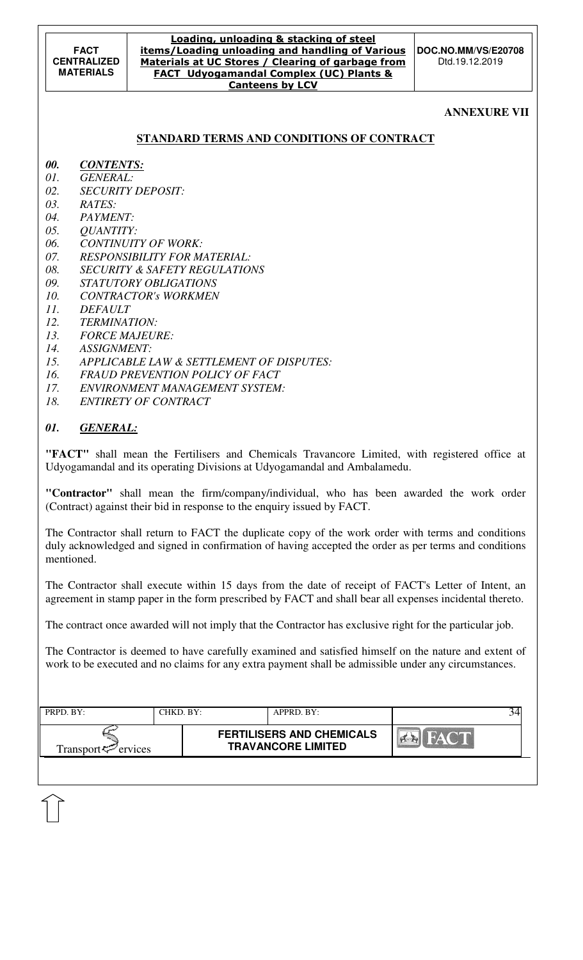#### **ANNEXURE VII**

#### **STANDARD TERMS AND CONDITIONS OF CONTRACT**

- *00. CONTENTS:*
- *01. GENERAL:*
- *02. SECURITY DEPOSIT:*
- *03. RATES:*
- *04. PAYMENT:*
- *05. QUANTITY:*
- *06. CONTINUITY OF WORK:*
- *07. RESPONSIBILITY FOR MATERIAL:*
- *08. SECURITY & SAFETY REGULATIONS*
- *09. STATUTORY OBLIGATIONS*
- *10. CONTRACTOR's WORKMEN*
- *11. DEFAULT*
- *12. TERMINATION:*
- *13. FORCE MAJEURE:*
- *14. ASSIGNMENT:*
- *15. APPLICABLE LAW & SETTLEMENT OF DISPUTES:*
- *16. FRAUD PREVENTION POLICY OF FACT*
- *17. ENVIRONMENT MANAGEMENT SYSTEM:*
- *18. ENTIRETY OF CONTRACT*

#### *01. GENERAL:*

**"FACT"** shall mean the Fertilisers and Chemicals Travancore Limited, with registered office at Udyogamandal and its operating Divisions at Udyogamandal and Ambalamedu.

**"Contractor"** shall mean the firm/company/individual, who has been awarded the work order (Contract) against their bid in response to the enquiry issued by FACT.

The Contractor shall return to FACT the duplicate copy of the work order with terms and conditions duly acknowledged and signed in confirmation of having accepted the order as per terms and conditions mentioned.

The Contractor shall execute within 15 days from the date of receipt of FACT's Letter of Intent, an agreement in stamp paper in the form prescribed by FACT and shall bear all expenses incidental thereto.

The contract once awarded will not imply that the Contractor has exclusive right for the particular job.

The Contractor is deemed to have carefully examined and satisfied himself on the nature and extent of work to be executed and no claims for any extra payment shall be admissible under any circumstances.

| PRPD. BY:                   | CHKD. BY: | APPRD. BY:                                                    |  |
|-----------------------------|-----------|---------------------------------------------------------------|--|
| Transport $\approx$ ervices |           | <b>FERTILISERS AND CHEMICALS</b><br><b>TRAVANCORE LIMITED</b> |  |
|                             |           |                                                               |  |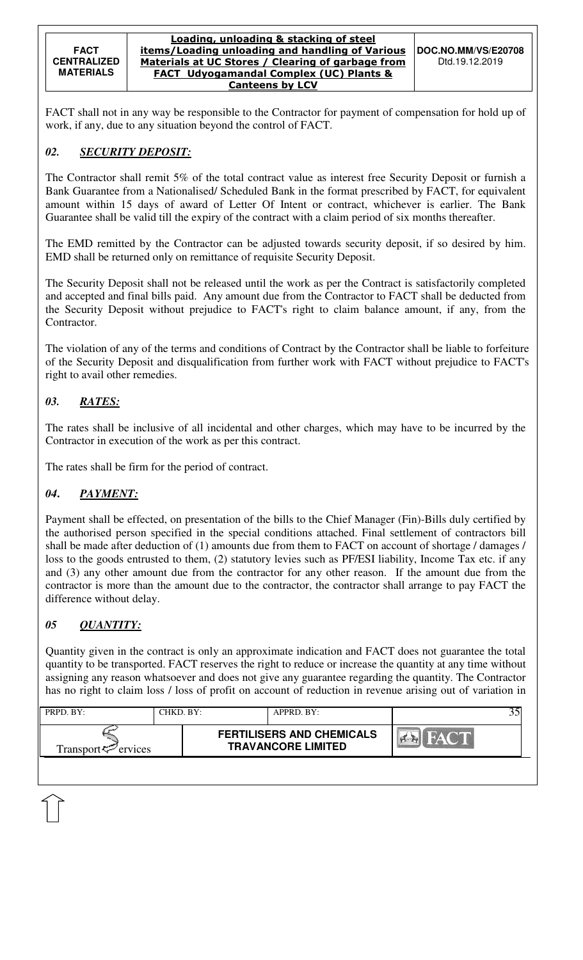#### Loading, unloading & stacking of steel items/Loading unloading and handling of Various Materials at UC Stores / Clearing of garbage from FACT Udyogamandal Complex (UC) Plants & Canteens by LCV

FACT shall not in any way be responsible to the Contractor for payment of compensation for hold up of work, if any, due to any situation beyond the control of FACT.

# *02. SECURITY DEPOSIT:*

The Contractor shall remit 5% of the total contract value as interest free Security Deposit or furnish a Bank Guarantee from a Nationalised/ Scheduled Bank in the format prescribed by FACT, for equivalent amount within 15 days of award of Letter Of Intent or contract, whichever is earlier. The Bank Guarantee shall be valid till the expiry of the contract with a claim period of six months thereafter.

The EMD remitted by the Contractor can be adjusted towards security deposit, if so desired by him. EMD shall be returned only on remittance of requisite Security Deposit.

The Security Deposit shall not be released until the work as per the Contract is satisfactorily completed and accepted and final bills paid. Any amount due from the Contractor to FACT shall be deducted from the Security Deposit without prejudice to FACT's right to claim balance amount, if any, from the Contractor.

The violation of any of the terms and conditions of Contract by the Contractor shall be liable to forfeiture of the Security Deposit and disqualification from further work with FACT without prejudice to FACT's right to avail other remedies.

# *03. RATES:*

The rates shall be inclusive of all incidental and other charges, which may have to be incurred by the Contractor in execution of the work as per this contract.

The rates shall be firm for the period of contract.

# *04***.** *PAYMENT:*

Payment shall be effected, on presentation of the bills to the Chief Manager (Fin)-Bills duly certified by the authorised person specified in the special conditions attached. Final settlement of contractors bill shall be made after deduction of (1) amounts due from them to FACT on account of shortage / damages / loss to the goods entrusted to them, (2) statutory levies such as PF/ESI liability, Income Tax etc. if any and (3) any other amount due from the contractor for any other reason. If the amount due from the contractor is more than the amount due to the contractor, the contractor shall arrange to pay FACT the difference without delay.

# *05 QUANTITY:*

Quantity given in the contract is only an approximate indication and FACT does not guarantee the total quantity to be transported. FACT reserves the right to reduce or increase the quantity at any time without assigning any reason whatsoever and does not give any guarantee regarding the quantity. The Contractor has no right to claim loss / loss of profit on account of reduction in revenue arising out of variation in

| PRPD. BY:                      | CHKD. BY: | APPRD. BY:                                                    |                                         |
|--------------------------------|-----------|---------------------------------------------------------------|-----------------------------------------|
| Transport <sup>2</sup> ervices |           | <b>FERTILISERS AND CHEMICALS</b><br><b>TRAVANCORE LIMITED</b> | <b>Yekin</b><br>$\mathbb{Z}/\mathbb{Z}$ |
|                                |           |                                                               |                                         |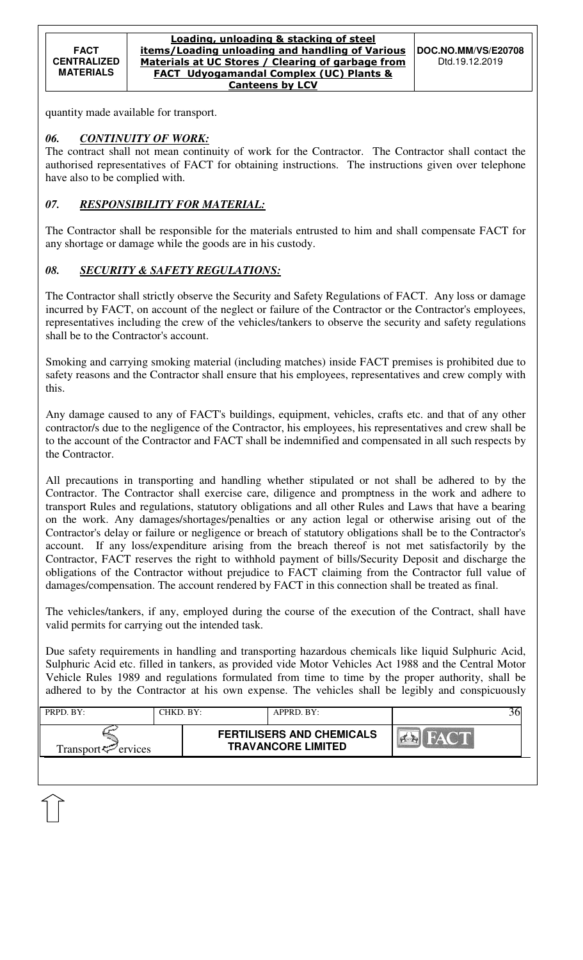quantity made available for transport.

### *06. CONTINUITY OF WORK:*

The contract shall not mean continuity of work for the Contractor. The Contractor shall contact the authorised representatives of FACT for obtaining instructions. The instructions given over telephone have also to be complied with.

# *07. RESPONSIBILITY FOR MATERIAL:*

The Contractor shall be responsible for the materials entrusted to him and shall compensate FACT for any shortage or damage while the goods are in his custody.

## *08. SECURITY & SAFETY REGULATIONS:*

The Contractor shall strictly observe the Security and Safety Regulations of FACT. Any loss or damage incurred by FACT, on account of the neglect or failure of the Contractor or the Contractor's employees, representatives including the crew of the vehicles/tankers to observe the security and safety regulations shall be to the Contractor's account.

Smoking and carrying smoking material (including matches) inside FACT premises is prohibited due to safety reasons and the Contractor shall ensure that his employees, representatives and crew comply with this.

Any damage caused to any of FACT's buildings, equipment, vehicles, crafts etc. and that of any other contractor/s due to the negligence of the Contractor, his employees, his representatives and crew shall be to the account of the Contractor and FACT shall be indemnified and compensated in all such respects by the Contractor.

All precautions in transporting and handling whether stipulated or not shall be adhered to by the Contractor. The Contractor shall exercise care, diligence and promptness in the work and adhere to transport Rules and regulations, statutory obligations and all other Rules and Laws that have a bearing on the work. Any damages/shortages/penalties or any action legal or otherwise arising out of the Contractor's delay or failure or negligence or breach of statutory obligations shall be to the Contractor's account. If any loss/expenditure arising from the breach thereof is not met satisfactorily by the Contractor, FACT reserves the right to withhold payment of bills/Security Deposit and discharge the obligations of the Contractor without prejudice to FACT claiming from the Contractor full value of damages/compensation. The account rendered by FACT in this connection shall be treated as final.

The vehicles/tankers, if any, employed during the course of the execution of the Contract, shall have valid permits for carrying out the intended task.

Due safety requirements in handling and transporting hazardous chemicals like liquid Sulphuric Acid, Sulphuric Acid etc. filled in tankers, as provided vide Motor Vehicles Act 1988 and the Central Motor Vehicle Rules 1989 and regulations formulated from time to time by the proper authority, shall be adhered to by the Contractor at his own expense. The vehicles shall be legibly and conspicuously

| PRPD. BY:                      | CHKD. BY: | $APPRD$ . BY:                                                 |              |
|--------------------------------|-----------|---------------------------------------------------------------|--------------|
| Transport <sup>2</sup> ervices |           | <b>FERTILISERS AND CHEMICALS</b><br><b>TRAVANCORE LIMITED</b> | $M^{\prime}$ |
|                                |           |                                                               |              |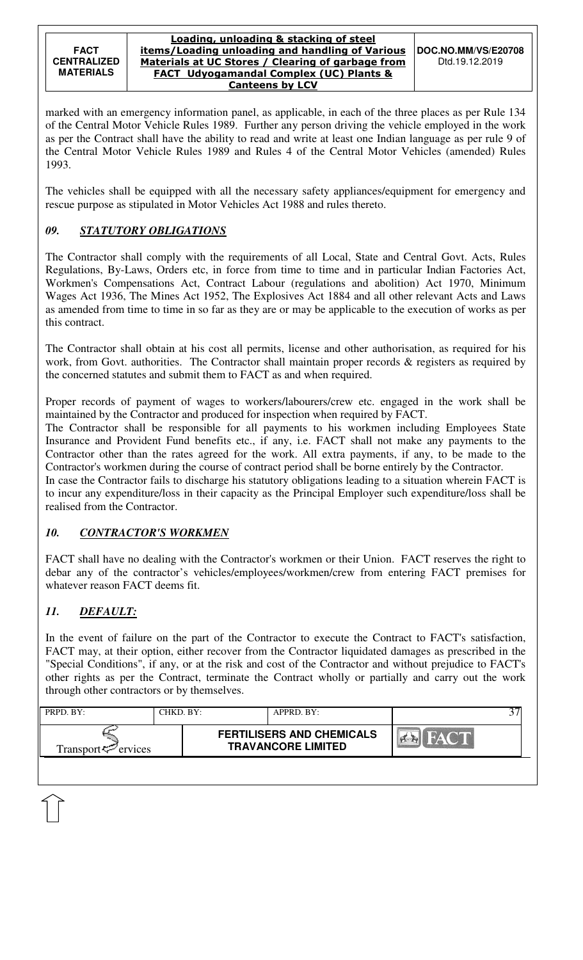marked with an emergency information panel, as applicable, in each of the three places as per Rule 134 of the Central Motor Vehicle Rules 1989. Further any person driving the vehicle employed in the work as per the Contract shall have the ability to read and write at least one Indian language as per rule 9 of the Central Motor Vehicle Rules 1989 and Rules 4 of the Central Motor Vehicles (amended) Rules 1993.

The vehicles shall be equipped with all the necessary safety appliances/equipment for emergency and rescue purpose as stipulated in Motor Vehicles Act 1988 and rules thereto.

# *09. STATUTORY OBLIGATIONS*

The Contractor shall comply with the requirements of all Local, State and Central Govt. Acts, Rules Regulations, By-Laws, Orders etc, in force from time to time and in particular Indian Factories Act, Workmen's Compensations Act, Contract Labour (regulations and abolition) Act 1970, Minimum Wages Act 1936, The Mines Act 1952, The Explosives Act 1884 and all other relevant Acts and Laws as amended from time to time in so far as they are or may be applicable to the execution of works as per this contract.

The Contractor shall obtain at his cost all permits, license and other authorisation, as required for his work, from Govt. authorities. The Contractor shall maintain proper records & registers as required by the concerned statutes and submit them to FACT as and when required.

Proper records of payment of wages to workers/labourers/crew etc. engaged in the work shall be maintained by the Contractor and produced for inspection when required by FACT.

The Contractor shall be responsible for all payments to his workmen including Employees State Insurance and Provident Fund benefits etc., if any, i.e. FACT shall not make any payments to the Contractor other than the rates agreed for the work. All extra payments, if any, to be made to the Contractor's workmen during the course of contract period shall be borne entirely by the Contractor.

In case the Contractor fails to discharge his statutory obligations leading to a situation wherein FACT is to incur any expenditure/loss in their capacity as the Principal Employer such expenditure/loss shall be realised from the Contractor.

# *10. CONTRACTOR'S WORKMEN*

FACT shall have no dealing with the Contractor's workmen or their Union. FACT reserves the right to debar any of the contractor's vehicles/employees/workmen/crew from entering FACT premises for whatever reason FACT deems fit.

# *11. DEFAULT:*

In the event of failure on the part of the Contractor to execute the Contract to FACT's satisfaction, FACT may, at their option, either recover from the Contractor liquidated damages as prescribed in the "Special Conditions", if any, or at the risk and cost of the Contractor and without prejudice to FACT's other rights as per the Contract, terminate the Contract wholly or partially and carry out the work through other contractors or by themselves.

| PRPD. BY:                   | CHKD. BY: | APPRD. BY:                                                    |             |  |
|-----------------------------|-----------|---------------------------------------------------------------|-------------|--|
| Transport $\approx$ ervices |           | <b>FERTILISERS AND CHEMICALS</b><br><b>TRAVANCORE LIMITED</b> | <b>EVAN</b> |  |
|                             |           |                                                               |             |  |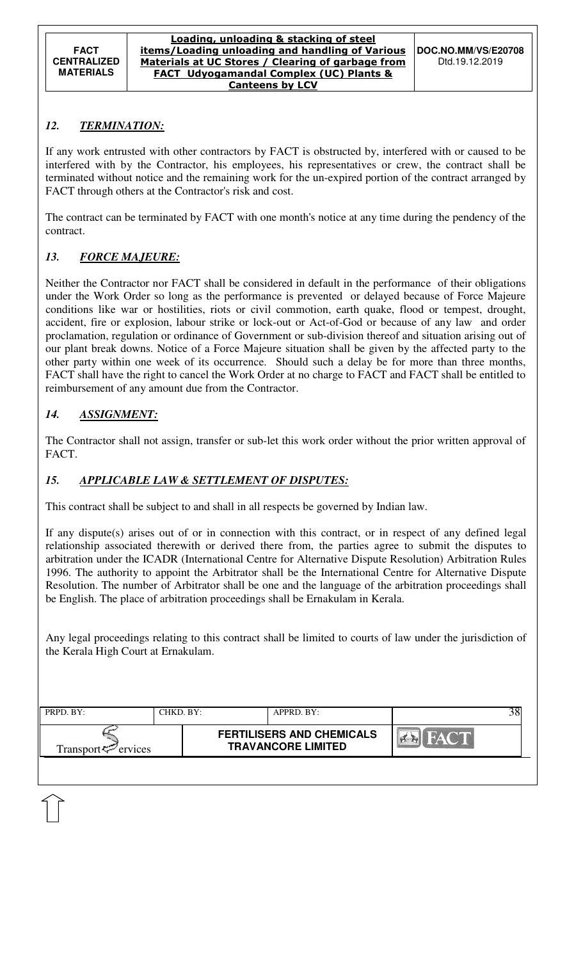# *12. TERMINATION:*

If any work entrusted with other contractors by FACT is obstructed by, interfered with or caused to be interfered with by the Contractor, his employees, his representatives or crew, the contract shall be terminated without notice and the remaining work for the un-expired portion of the contract arranged by FACT through others at the Contractor's risk and cost.

The contract can be terminated by FACT with one month's notice at any time during the pendency of the contract.

# *13. FORCE MAJEURE:*

Neither the Contractor nor FACT shall be considered in default in the performance of their obligations under the Work Order so long as the performance is prevented or delayed because of Force Majeure conditions like war or hostilities, riots or civil commotion, earth quake, flood or tempest, drought, accident, fire or explosion, labour strike or lock-out or Act-of-God or because of any law and order proclamation, regulation or ordinance of Government or sub-division thereof and situation arising out of our plant break downs. Notice of a Force Majeure situation shall be given by the affected party to the other party within one week of its occurrence. Should such a delay be for more than three months, FACT shall have the right to cancel the Work Order at no charge to FACT and FACT shall be entitled to reimbursement of any amount due from the Contractor.

# *14. ASSIGNMENT:*

The Contractor shall not assign, transfer or sub-let this work order without the prior written approval of FACT.

## *15. APPLICABLE LAW & SETTLEMENT OF DISPUTES:*

This contract shall be subject to and shall in all respects be governed by Indian law.

If any dispute(s) arises out of or in connection with this contract, or in respect of any defined legal relationship associated therewith or derived there from, the parties agree to submit the disputes to arbitration under the ICADR (International Centre for Alternative Dispute Resolution) Arbitration Rules 1996. The authority to appoint the Arbitrator shall be the International Centre for Alternative Dispute Resolution. The number of Arbitrator shall be one and the language of the arbitration proceedings shall be English. The place of arbitration proceedings shall be Ernakulam in Kerala.

Any legal proceedings relating to this contract shall be limited to courts of law under the jurisdiction of the Kerala High Court at Ernakulam.

| PRPD. BY:                       | CHKD. BY: | $APPRD$ . $BY$ :                                              |  |
|---------------------------------|-----------|---------------------------------------------------------------|--|
| Transport <sup>ry</sup> ervices |           | <b>FERTILISERS AND CHEMICALS</b><br><b>TRAVANCORE LIMITED</b> |  |
|                                 |           |                                                               |  |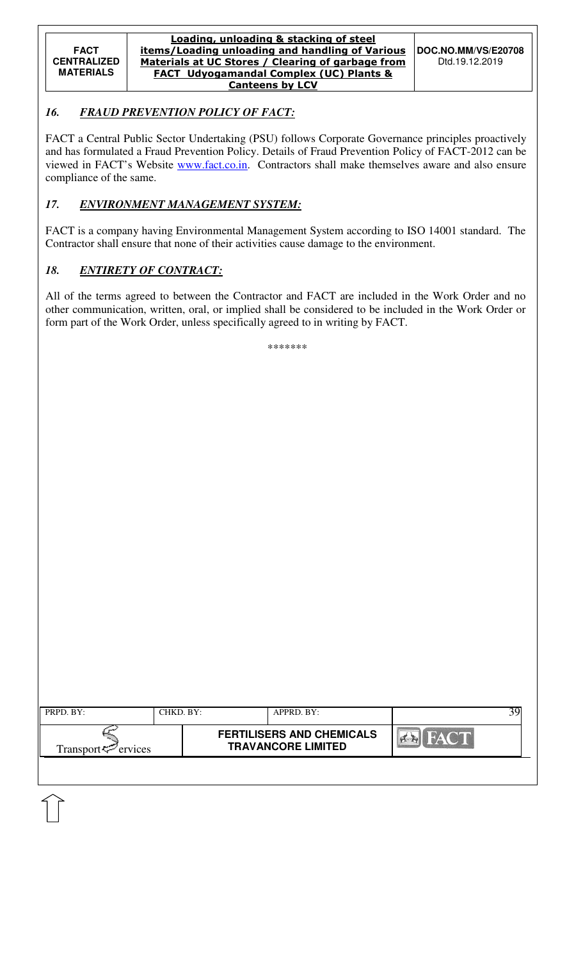#### Loading, unloading & stacking of steel items/Loading unloading and handling of Various Materials at UC Stores / Clearing of garbage from FACT Udyogamandal Complex (UC) Plants & Canteens by LCV

# *16. FRAUD PREVENTION POLICY OF FACT:*

FACT a Central Public Sector Undertaking (PSU) follows Corporate Governance principles proactively and has formulated a Fraud Prevention Policy. Details of Fraud Prevention Policy of FACT-2012 can be viewed in FACT's Website www.fact.co.in. Contractors shall make themselves aware and also ensure compliance of the same.

# *17. ENVIRONMENT MANAGEMENT SYSTEM:*

FACT is a company having Environmental Management System according to ISO 14001 standard. The Contractor shall ensure that none of their activities cause damage to the environment.

# *18. ENTIRETY OF CONTRACT:*

All of the terms agreed to between the Contractor and FACT are included in the Work Order and no other communication, written, oral, or implied shall be considered to be included in the Work Order or form part of the Work Order, unless specifically agreed to in writing by FACT.

\*\*\*\*\*\*\*

| PRPD. BY:                   | CHKD. BY: | APPRD. BY:                                                    |             |  |
|-----------------------------|-----------|---------------------------------------------------------------|-------------|--|
| Transport $\approx$ ervices |           | <b>FERTILISERS AND CHEMICALS</b><br><b>TRAVANCORE LIMITED</b> | <b>FACT</b> |  |
|                             |           |                                                               |             |  |
|                             |           |                                                               |             |  |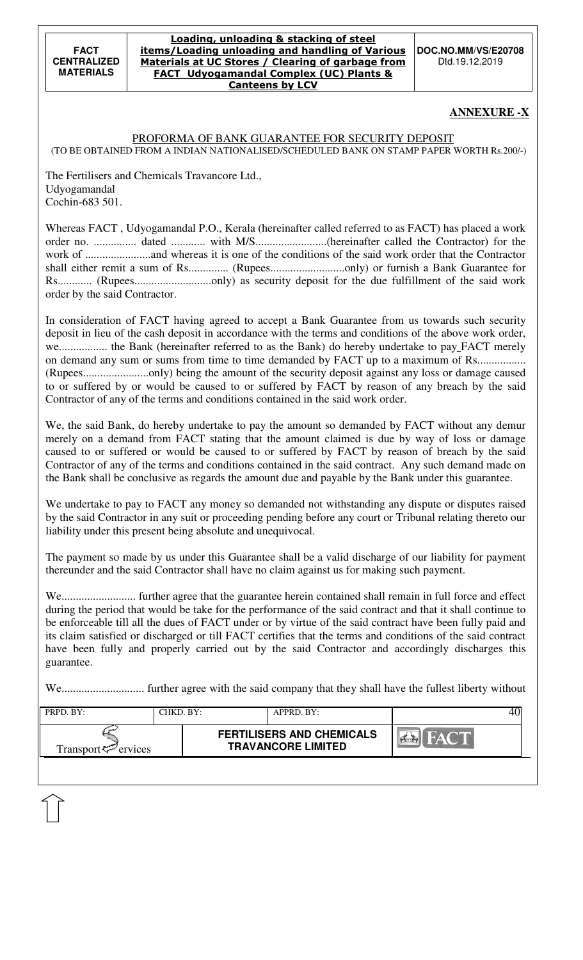#### Loading, unloading & stacking of steel items/Loading unloading and handling of Various Materials at UC Stores / Clearing of garbage from FACT Udyogamandal Complex (UC) Plants & Canteens by LCV

**DOC.NO.MM/VS/E20708**  Dtd.19.12.2019

## **ANNEXURE -X**

#### PROFORMA OF BANK GUARANTEE FOR SECURITY DEPOSIT (TO BE OBTAINED FROM A INDIAN NATIONALISED/SCHEDULED BANK ON STAMP PAPER WORTH Rs.200/-)

The Fertilisers and Chemicals Travancore Ltd., Udyogamandal Cochin-683 501.

|                               | Whereas FACT, Udyogamandal P.O., Kerala (hereinafter called referred to as FACT) has placed a work |
|-------------------------------|----------------------------------------------------------------------------------------------------|
|                               |                                                                                                    |
|                               |                                                                                                    |
|                               |                                                                                                    |
|                               |                                                                                                    |
| order by the said Contractor. |                                                                                                    |

In consideration of FACT having agreed to accept a Bank Guarantee from us towards such security deposit in lieu of the cash deposit in accordance with the terms and conditions of the above work order, we................... the Bank (hereinafter referred to as the Bank) do hereby undertake to pay\_FACT merely on demand any sum or sums from time to time demanded by FACT up to a maximum of Rs.................. (Rupees.......................only) being the amount of the security deposit against any loss or damage caused to or suffered by or would be caused to or suffered by FACT by reason of any breach by the said Contractor of any of the terms and conditions contained in the said work order.

We, the said Bank, do hereby undertake to pay the amount so demanded by FACT without any demur merely on a demand from FACT stating that the amount claimed is due by way of loss or damage caused to or suffered or would be caused to or suffered by FACT by reason of breach by the said Contractor of any of the terms and conditions contained in the said contract. Any such demand made on the Bank shall be conclusive as regards the amount due and payable by the Bank under this guarantee.

We undertake to pay to FACT any money so demanded not withstanding any dispute or disputes raised by the said Contractor in any suit or proceeding pending before any court or Tribunal relating thereto our liability under this present being absolute and unequivocal.

The payment so made by us under this Guarantee shall be a valid discharge of our liability for payment thereunder and the said Contractor shall have no claim against us for making such payment.

We.......................... further agree that the guarantee herein contained shall remain in full force and effect during the period that would be take for the performance of the said contract and that it shall continue to be enforceable till all the dues of FACT under or by virtue of the said contract have been fully paid and its claim satisfied or discharged or till FACT certifies that the terms and conditions of the said contract have been fully and properly carried out by the said Contractor and accordingly discharges this guarantee.

We............................. further agree with the said company that they shall have the fullest liberty without

| <b>FERTILISERS AND CHEMICALS</b><br><b>TRAVANCORE LIMITED</b><br>Transport <sup>-</sup> ervices | PRPD. BY: | CHKD. BY: | APPRD. BY: |  |
|-------------------------------------------------------------------------------------------------|-----------|-----------|------------|--|
|                                                                                                 |           |           |            |  |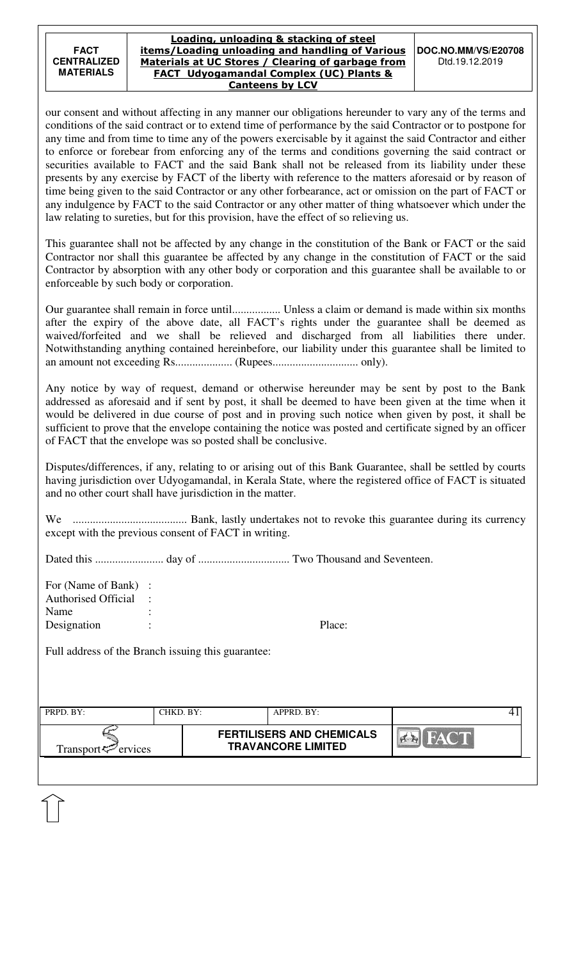#### Loading, unloading & stacking of steel items/Loading unloading and handling of Various Materials at UC Stores / Clearing of garbage from FACT Udyogamandal Complex (UC) Plants & Canteens by LCV

our consent and without affecting in any manner our obligations hereunder to vary any of the terms and conditions of the said contract or to extend time of performance by the said Contractor or to postpone for any time and from time to time any of the powers exercisable by it against the said Contractor and either to enforce or forebear from enforcing any of the terms and conditions governing the said contract or securities available to FACT and the said Bank shall not be released from its liability under these presents by any exercise by FACT of the liberty with reference to the matters aforesaid or by reason of time being given to the said Contractor or any other forbearance, act or omission on the part of FACT or any indulgence by FACT to the said Contractor or any other matter of thing whatsoever which under the law relating to sureties, but for this provision, have the effect of so relieving us.

This guarantee shall not be affected by any change in the constitution of the Bank or FACT or the said Contractor nor shall this guarantee be affected by any change in the constitution of FACT or the said Contractor by absorption with any other body or corporation and this guarantee shall be available to or enforceable by such body or corporation.

Our guarantee shall remain in force until................. Unless a claim or demand is made within six months after the expiry of the above date, all FACT's rights under the guarantee shall be deemed as waived/forfeited and we shall be relieved and discharged from all liabilities there under. Notwithstanding anything contained hereinbefore, our liability under this guarantee shall be limited to an amount not exceeding Rs.................... (Rupees.............................. only).

Any notice by way of request, demand or otherwise hereunder may be sent by post to the Bank addressed as aforesaid and if sent by post, it shall be deemed to have been given at the time when it would be delivered in due course of post and in proving such notice when given by post, it shall be sufficient to prove that the envelope containing the notice was posted and certificate signed by an officer of FACT that the envelope was so posted shall be conclusive.

Disputes/differences, if any, relating to or arising out of this Bank Guarantee, shall be settled by courts having jurisdiction over Udyogamandal, in Kerala State, where the registered office of FACT is situated and no other court shall have jurisdiction in the matter.

We ........................................ Bank, lastly undertakes not to revoke this guarantee during its currency except with the previous consent of FACT in writing.

Dated this ........................ day of ................................ Two Thousand and Seventeen.

| For (Name of Bank) :       |        |
|----------------------------|--------|
| <b>Authorised Official</b> |        |
| Name                       |        |
| Designation                | Place: |

Full address of the Branch issuing this guarantee:

| PRPD. BY:                      | CHKD. BY: | APPRD. BY:                                                    |  |
|--------------------------------|-----------|---------------------------------------------------------------|--|
| Transport <sup>7</sup> ervices |           | <b>FERTILISERS AND CHEMICALS</b><br><b>TRAVANCORE LIMITED</b> |  |
|                                |           |                                                               |  |